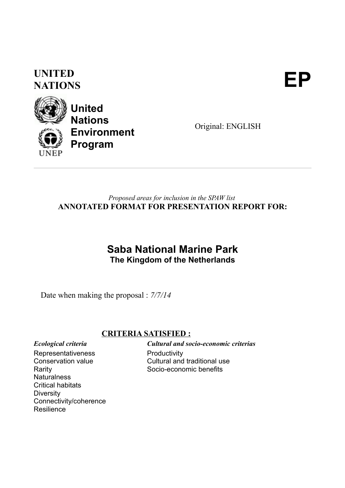### **UNITED** UNITED<br>NATIONS



**United Nations Environment Program**

Original: ENGLISH

#### *Proposed areas for inclusion in the SPAW list* **ANNOTATED FORMAT FOR PRESENTATION REPORT FOR:**

### **Saba National Marine Park The Kingdom of the Netherlands**

Date when making the proposal : *7/7/14*

#### **CRITERIA SATISFIED :**

Representativeness Conservation value Rarity **Naturalness** 

Connectivity/coherence

Critical habitats

**Diversity** 

**Resilience** 

*Ecological criteria Cultural and socio-economic criterias* **Productivity** Cultural and traditional use Socio-economic benefits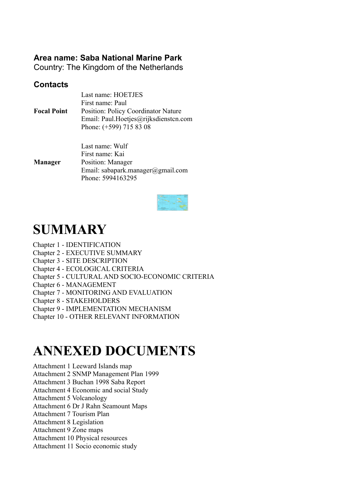### **Area name: Saba National Marine Park**

Country: The Kingdom of the Netherlands

#### **Contacts**

| <b>Focal Point</b> | Last name: HOETJES<br>First name: Paul<br><b>Position: Policy Coordinator Nature</b><br>Email: Paul.Hoetjes@rijksdiensten.com |
|--------------------|-------------------------------------------------------------------------------------------------------------------------------|
|                    | Phone: (+599) 715 83 08                                                                                                       |

**Manager** Last name: Wulf First name: Kai Position: Manager Email: sabapark.manager@gmail.com Phone: 5994163295



## **SUMMARY**

- Chapter 1 IDENTIFICATION
- Chapter 2 EXECUTIVE SUMMARY
- Chapter 3 SITE DESCRIPTION
- Chapter 4 ECOLOGICAL CRITERIA
- Chapter 5 CULTURAL AND SOCIO-ECONOMIC CRITERIA
- Chapter 6 MANAGEMENT
- Chapter 7 MONITORING AND EVALUATION
- Chapter 8 STAKEHOLDERS
- Chapter 9 IMPLEMENTATION MECHANISM
- Chapter 10 OTHER RELEVANT INFORMATION

## **ANNEXED DOCUMENTS**

- Attachment 1 Leeward Islands map
- Attachment 2 SNMP Management Plan 1999
- Attachment 3 Buchan 1998 Saba Report
- Attachment 4 Economic and social Study
- Attachment 5 Volcanology
- Attachment 6 Dr J Rahn Seamount Maps
- Attachment 7 Tourism Plan
- Attachment 8 Legislation
- Attachment 9 Zone maps
- Attachment 10 Physical resources
- Attachment 11 Socio economic study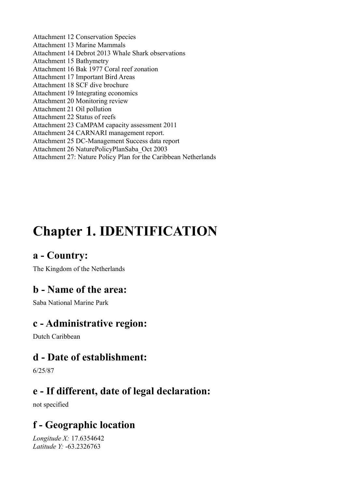Attachment 12 Conservation Species Attachment 13 Marine Mammals Attachment 14 Debrot 2013 Whale Shark observations Attachment 15 Bathymetry Attachment 16 Bak 1977 Coral reef zonation Attachment 17 Important Bird Areas Attachment 18 SCF dive brochure Attachment 19 Integrating economics Attachment 20 Monitoring review Attachment 21 Oil pollution Attachment 22 Status of reefs Attachment 23 CaMPAM capacity assessment 2011 Attachment 24 CARNARI management report. Attachment 25 DC-Management Success data report Attachment 26 NaturePolicyPlanSaba\_Oct 2003 Attachment 27: Nature Policy Plan for the Caribbean Netherlands

## **Chapter 1. IDENTIFICATION**

### **a - Country:**

The Kingdom of the Netherlands

### **b - Name of the area:**

Saba National Marine Park

### **c - Administrative region:**

Dutch Caribbean

### **d - Date of establishment:**

6/25/87

### **e - If different, date of legal declaration:**

not specified

### **f - Geographic location**

*Longitude X:* 17.6354642 *Latitude Y:* -63.2326763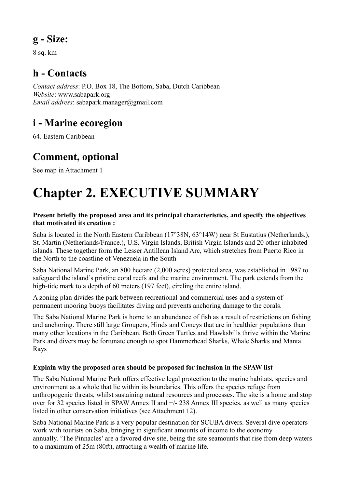### **g - Size:**

8 sq. km

### **h - Contacts**

*Contact address*: P.O. Box 18, The Bottom, Saba, Dutch Caribbean *Website*: www.sabapark.org *Email address*: sabapark.manager@gmail.com

### **i - Marine ecoregion**

64. Eastern Caribbean

### **Comment, optional**

See map in Attachment 1

# **Chapter 2. EXECUTIVE SUMMARY**

#### **Present briefly the proposed area and its principal characteristics, and specify the objectives that motivated its creation :**

Saba is located in the North Eastern Caribbean (17°38N, 63°14W) near St Eustatius (Netherlands.), St. Martin (Netherlands/France.), U.S. Virgin Islands, British Virgin Islands and 20 other inhabited islands. These together form the Lesser Antillean Island Arc, which stretches from Puerto Rico in the North to the coastline of Venezuela in the South

Saba National Marine Park, an 800 hectare (2,000 acres) protected area, was established in 1987 to safeguard the island's pristine coral reefs and the marine environment. The park extends from the high-tide mark to a depth of 60 meters (197 feet), circling the entire island.

A zoning plan divides the park between recreational and commercial uses and a system of permanent mooring buoys facilitates diving and prevents anchoring damage to the corals.

The Saba National Marine Park is home to an abundance of fish as a result of restrictions on fishing and anchoring. There still large Groupers, Hinds and Coneys that are in healthier populations than many other locations in the Caribbean. Both Green Turtles and Hawksbills thrive within the Marine Park and divers may be fortunate enough to spot Hammerhead Sharks, Whale Sharks and Manta Rays

#### **Explain why the proposed area should be proposed for inclusion in the SPAW list**

The Saba National Marine Park offers effective legal protection to the marine habitats, species and environment as a whole that lie within its boundaries. This offers the species refuge from anthropogenic threats, whilst sustaining natural resources and processes. The site is a home and stop over for 32 species listed in SPAW Annex II and +/- 238 Annex III species, as well as many species listed in other conservation initiatives (see Attachment 12).

Saba National Marine Park is a very popular destination for SCUBA divers. Several dive operators work with tourists on Saba, bringing in significant amounts of income to the economy annually. 'The Pinnacles' are a favored dive site, being the site seamounts that rise from deep waters to a maximum of 25m (80ft), attracting a wealth of marine life.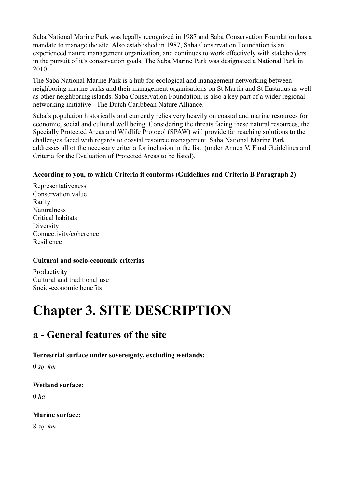Saba National Marine Park was legally recognized in 1987 and Saba Conservation Foundation has a mandate to manage the site. Also established in 1987, Saba Conservation Foundation is an experienced nature management organization, and continues to work effectively with stakeholders in the pursuit of it's conservation goals. The Saba Marine Park was designated a National Park in 2010

The Saba National Marine Park is a hub for ecological and management networking between neighboring marine parks and their management organisations on St Martin and St Eustatius as well as other neighboring islands. Saba Conservation Foundation, is also a key part of a wider regional networking initiative - The Dutch Caribbean Nature Alliance.

Saba's population historically and currently relies very heavily on coastal and marine resources for economic, social and cultural well being. Considering the threats facing these natural resources, the Specially Protected Areas and Wildlife Protocol (SPAW) will provide far reaching solutions to the challenges faced with regards to coastal resource management. Saba National Marine Park addresses all of the necessary criteria for inclusion in the list (under Annex V. Final Guidelines and Criteria for the Evaluation of Protected Areas to be listed).

#### **According to you, to which Criteria it conforms (Guidelines and Criteria B Paragraph 2)**

Representativeness Conservation value Rarity **Naturalness** Critical habitats Diversity Connectivity/coherence Resilience

#### **Cultural and socio-economic criterias**

Productivity Cultural and traditional use Socio-economic benefits

## **Chapter 3. SITE DESCRIPTION**

### **a - General features of the site**

#### **Terrestrial surface under sovereignty, excluding wetlands:**

0 *sq. km*

#### **Wetland surface:**

0 *ha*

#### **Marine surface:**

8 *sq. km*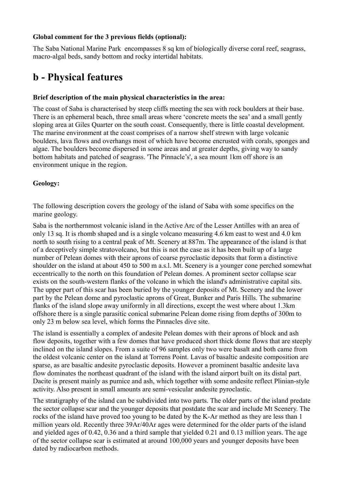#### **Global comment for the 3 previous fields (optional):**

The Saba National Marine Park encompasses 8 sq km of biologically diverse coral reef, seagrass, macro-algal beds, sandy bottom and rocky intertidal habitats.

### **b - Physical features**

#### **Brief description of the main physical characteristics in the area:**

The coast of Saba is characterised by steep cliffs meeting the sea with rock boulders at their base. There is an ephemeral beach, three small areas where 'concrete meets the sea' and a small gently sloping area at Giles Quarter on the south coast. Consequently, there is little coastal development. The marine environment at the coast comprises of a narrow shelf strewn with large volcanic boulders, lava flows and overhangs most of which have become encrusted with corals, sponges and algae. The boulders become dispersed in some areas and at greater depths, giving way to sandy bottom habitats and patched of seagrass. 'The Pinnacle's', a sea mount 1km off shore is an environment unique in the region.

#### **Geology:**

The following description covers the geology of the island of Saba with some specifics on the marine geology.

Saba is the northernmost volcanic island in the Active Arc of the Lesser Antilles with an area of only 13 sq. It is rhomb shaped and is a single volcano measuring 4.6 km east to west and 4.0 km north to south rising to a central peak of Mt. Scenery at 887m. The appearance of the island is that of a deceptively simple stratovolcano, but this is not the case as it has been built up of a large number of Pelean domes with their aprons of coarse pyroclastic deposits that form a distinctive shoulder on the island at about 450 to 500 m a.s.l. Mt. Scenery is a younger cone perched somewhat eccentrically to the north on this foundation of Pelean domes. A prominent sector collapse scar exists on the south-western flanks of the volcano in which the island's administrative capital sits. The upper part of this scar has been buried by the younger deposits of Mt. Scenery and the lower part by the Pelean dome and pyroclastic aprons of Great, Bunker and Paris Hills. The submarine flanks of the island slope away uniformly in all directions, except the west where about 1.3km offshore there is a single parasitic conical submarine Pelean dome rising from depths of 300m to only 23 m below sea level, which forms the Pinnacles dive site.

The island is essentially a complex of andesite Pelean domes with their aprons of block and ash flow deposits, together with a few domes that have produced short thick dome flows that are steeply inclined on the island slopes. From a suite of 96 samples only two were basalt and both came from the oldest volcanic center on the island at Torrens Point. Lavas of basaltic andesite composition are sparse, as are basaltic andesite pyroclastic deposits. However a prominent basaltic andesite lava flow dominates the northeast quadrant of the island with the island airport built on its distal part. Dacite is present mainly as pumice and ash, which together with some andesite reflect Plinian-style activity. Also present in small amounts are semi-vesicular andesite pyroclastic.

The stratigraphy of the island can be subdivided into two parts. The older parts of the island predate the sector collapse scar and the younger deposits that postdate the scar and include Mt Scenery. The rocks of the island have proved too young to be dated by the K-Ar method as they are less than 1 million years old. Recently three 39Ar/40Ar ages were determined for the older parts of the island and yielded ages of 0.42, 0.36 and a third sample that yielded 0.21 and 0.13 million years. The age of the sector collapse scar is estimated at around 100,000 years and younger deposits have been dated by radiocarbon methods.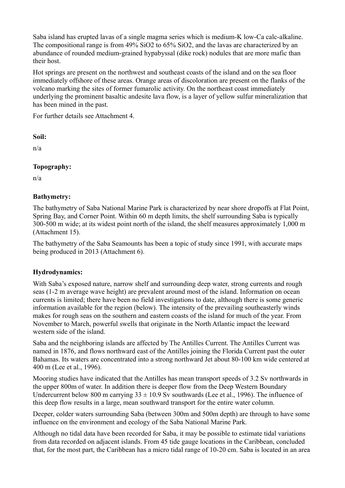Saba island has erupted lavas of a single magma series which is medium-K low-Ca calc-alkaline. The compositional range is from 49% SiO2 to 65% SiO2, and the lavas are characterized by an abundance of rounded medium-grained hypabyssal (dike rock) nodules that are more mafic than their host.

Hot springs are present on the northwest and southeast coasts of the island and on the sea floor immediately offshore of these areas. Orange areas of discoloration are present on the flanks of the volcano marking the sites of former fumarolic activity. On the northeast coast immediately underlying the prominent basaltic andesite lava flow, is a layer of yellow sulfur mineralization that has been mined in the past.

For further details see Attachment 4.

#### **Soil:**

n/a

#### **Topography:**

n/a

#### **Bathymetry:**

The bathymetry of Saba National Marine Park is characterized by near shore dropoffs at Flat Point, Spring Bay, and Corner Point. Within 60 m depth limits, the shelf surrounding Saba is typically 300-500 m wide; at its widest point north of the island, the shelf measures approximately 1,000 m (Attachment 15).

The bathymetry of the Saba Seamounts has been a topic of study since 1991, with accurate maps being produced in 2013 (Attachment 6).

#### **Hydrodynamics:**

With Saba's exposed nature, narrow shelf and surrounding deep water, strong currents and rough seas (1-2 m average wave height) are prevalent around most of the island. Information on ocean currents is limited; there have been no field investigations to date, although there is some generic information available for the region (below). The intensity of the prevailing southeasterly winds makes for rough seas on the southern and eastern coasts of the island for much of the year. From November to March, powerful swells that originate in the North Atlantic impact the leeward western side of the island.

Saba and the neighboring islands are affected by The Antilles Current. The Antilles Current was named in 1876, and flows northward east of the Antilles joining the Florida Current past the outer Bahamas. Its waters are concentrated into a strong northward Jet about 80-100 km wide centered at 400 m (Lee et al., 1996).

Mooring studies have indicated that the Antilles has mean transport speeds of 3.2 Sv northwards in the upper 800m of water. In addition there is deeper flow from the Deep Western Boundary Undercurrent below 800 m carrying  $33 \pm 10.9$  Sv southwards (Lee et al., 1996). The influence of this deep flow results in a large, mean southward transport for the entire water column.

Deeper, colder waters surrounding Saba (between 300m and 500m depth) are through to have some influence on the environment and ecology of the Saba National Marine Park.

Although no tidal data have been recorded for Saba, it may be possible to estimate tidal variations from data recorded on adjacent islands. From 45 tide gauge locations in the Caribbean, concluded that, for the most part, the Caribbean has a micro tidal range of 10-20 cm. Saba is located in an area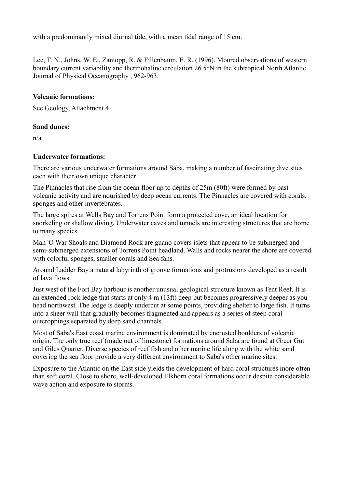with a predominantly mixed diurnal tide, with a mean tidal range of 15 cm.

Lee, T. N., Johns, W. E., Zantopp, R. & Fillenbaum, E. R. (1996). Moored observations of western boundary current variability and thermohaline circulation 26.5°N in the subtropical North Atlantic. Journal of Physical Oceanography , 962-963.

#### **Volcanic formations:**

See Geology, Attachment 4.

#### **Sand dunes:**

n/a

#### **Underwater formations:**

There are various underwater formations around Saba, making a number of fascinating dive sites each with their own unique character.

The Pinnacles that rise from the ocean floor up to depths of 25m (80ft) were formed by past volcanic activity and are nourished by deep ocean currents. The Pinnacles are covered with corals, sponges and other invertebrates.

The large spires at Wells Bay and Torrens Point form a protected cove, an ideal location for snorkeling or shallow diving. Underwater caves and tunnels are interesting structures that are home to many species.

Man 'O War Shoals and Diamond Rock are guano covers islets that appear to be submerged and semi-submerged extensions of Torrens Point headland. Walls and rocks nearer the shore are covered with colorful sponges, smaller corals and Sea fans.

Around Ladder Bay a natural labyrinth of groove formations and protrusions developed as a result of lava flows.

Just west of the Fort Bay harbour is another unusual geological structure known as Tent Reef. It is an extended rock ledge that starts at only 4 m (13ft) deep but becomes progressively deeper as you head northwest. The ledge is deeply undercut at some points, providing shelter to large fish. It turns into a sheer wall that gradually becomes fragmented and appears as a series of steep coral outcroppings separated by deep sand channels.

Most of Saba's East coast marine environment is dominated by encrusted boulders of volcanic origin. The only true reef (made out of limestone) formations around Saba are found at Greer Gut and Giles Quarter. Diverse species of reef fish and other marine life along with the white sand covering the sea floor provide a very different environment to Saba's other marine sites.

Exposure to the Atlantic on the East side yields the development of hard coral structures more often than soft coral. Close to shore, well-developed Elkhorn coral formations occur despite considerable wave action and exposure to storms.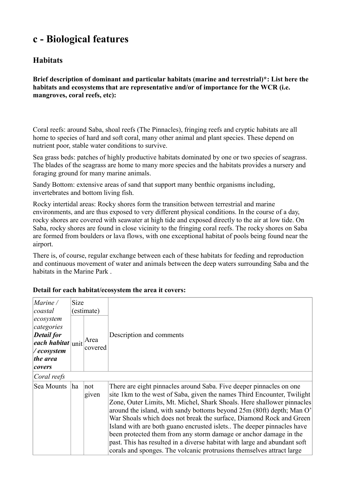### **c - Biological features**

#### **Habitats**

**Brief description of dominant and particular habitats (marine and terrestrial)\*: List here the habitats and ecosystems that are representative and/or of importance for the WCR (i.e. mangroves, coral reefs, etc):** 

Coral reefs: around Saba, shoal reefs (The Pinnacles), fringing reefs and cryptic habitats are all home to species of hard and soft coral, many other animal and plant species. These depend on nutrient poor, stable water conditions to survive.

Sea grass beds: patches of highly productive habitats dominated by one or two species of seagrass. The blades of the seagrass are home to many more species and the habitats provides a nursery and foraging ground for many marine animals.

Sandy Bottom: extensive areas of sand that support many benthic organisms including, invertebrates and bottom living fish.

Rocky intertidal areas: Rocky shores form the transition between terrestrial and marine environments, and are thus exposed to very different physical conditions. In the course of a day, rocky shores are covered with seawater at high tide and exposed directly to the air at low tide. On Saba, rocky shores are found in close vicinity to the fringing coral reefs. The rocky shores on Saba are formed from boulders or lava flows, with one exceptional habitat of pools being found near the airport.

There is, of course, regular exchange between each of these habitats for feeding and reproduction and continuous movement of water and animals between the deep waters surrounding Saba and the habitats in the Marine Park .

| Marine /<br>coastal                                                                                         | Size | (estimate)      | Description and comments                                                                                                                                                                                                                                                                                                                                                                                                                                                                                                                                                                                                                                                      |  |
|-------------------------------------------------------------------------------------------------------------|------|-----------------|-------------------------------------------------------------------------------------------------------------------------------------------------------------------------------------------------------------------------------------------------------------------------------------------------------------------------------------------------------------------------------------------------------------------------------------------------------------------------------------------------------------------------------------------------------------------------------------------------------------------------------------------------------------------------------|--|
| ecosystem<br>categories<br><b>Detail for</b><br>$ each\; habitat $ unit<br>/ecosystem<br>the area<br>covers |      | Area<br>covered |                                                                                                                                                                                                                                                                                                                                                                                                                                                                                                                                                                                                                                                                               |  |
| Coral reefs                                                                                                 |      |                 |                                                                                                                                                                                                                                                                                                                                                                                                                                                                                                                                                                                                                                                                               |  |
| Sea Mounts                                                                                                  | ha   | not<br>given    | There are eight pinnacles around Saba. Five deeper pinnacles on one<br>site 1km to the west of Saba, given the names Third Encounter, Twilight<br>Zone, Outer Limits, Mt. Michel, Shark Shoals. Here shallower pinnacles<br>around the island, with sandy bottoms beyond 25m (80ft) depth; Man O'<br>War Shoals which does not break the surface, Diamond Rock and Green<br>Island with are both guano encrusted islets. The deeper pinnacles have<br>been protected them from any storm damage or anchor damage in the<br>past. This has resulted in a diverse habitat with large and abundant soft<br>corals and sponges. The volcanic protrusions themselves attract large |  |

#### **Detail for each habitat/ecosystem the area it covers:**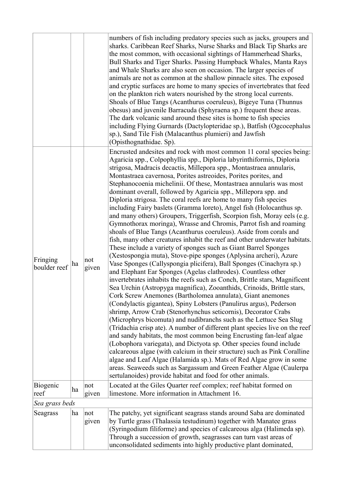|                          |    |              | numbers of fish including predatory species such as jacks, groupers and<br>sharks. Caribbean Reef Sharks, Nurse Sharks and Black Tip Sharks are<br>the most common, with occasional sightings of Hammerhead Sharks,<br>Bull Sharks and Tiger Sharks. Passing Humpback Whales, Manta Rays<br>and Whale Sharks are also seen on occasion. The larger species of<br>animals are not as common at the shallow pinnacle sites. The exposed<br>and cryptic surfaces are home to many species of invertebrates that feed<br>on the plankton rich waters nourished by the strong local currents.<br>Shoals of Blue Tangs (Acanthurus coeruleus), Bigeye Tuna (Thunnus<br>obesus) and juvenile Barracuda (Sphyraena sp.) frequent these areas.<br>The dark volcanic sand around these sites is home to fish species<br>including Flying Gurnards (Dactylopteridae sp.), Batfish (Ogcocephalus<br>sp.), Sand Tile Fish (Malacanthus plumieri) and Jawfish<br>(Opisthognathidae. Sp).                                                                                                                                                                                                                                                                                                                                                                                                                                                                                                                                                                                                                                                                                                                                                                                                                                                                                                                                                                                                                                                                                                                                                    |
|--------------------------|----|--------------|-------------------------------------------------------------------------------------------------------------------------------------------------------------------------------------------------------------------------------------------------------------------------------------------------------------------------------------------------------------------------------------------------------------------------------------------------------------------------------------------------------------------------------------------------------------------------------------------------------------------------------------------------------------------------------------------------------------------------------------------------------------------------------------------------------------------------------------------------------------------------------------------------------------------------------------------------------------------------------------------------------------------------------------------------------------------------------------------------------------------------------------------------------------------------------------------------------------------------------------------------------------------------------------------------------------------------------------------------------------------------------------------------------------------------------------------------------------------------------------------------------------------------------------------------------------------------------------------------------------------------------------------------------------------------------------------------------------------------------------------------------------------------------------------------------------------------------------------------------------------------------------------------------------------------------------------------------------------------------------------------------------------------------------------------------------------------------------------------------------------------------|
| Fringing<br>boulder reef | ha | not<br>given | Encrusted andesites and rock with most common 11 coral species being:<br>Agaricia spp., Colpophyllia spp., Diploria labyrinthiformis, Diploria<br>strigosa, Madracis decactis, Millepora spp., Montastraea annularis,<br>Montastraea cavernosa, Porites astreoides, Porites porites, and<br>Stephanocoenia michelinii. Of these, Montastraea annularis was most<br>dominant overall, followed by Agaricia spp., Millepora spp. and<br>Diploria strigosa. The coral reefs are home to many fish species<br>including Fairy baslets (Gramma loreto), Angel fish (Holocanthus sp.<br>and many others) Groupers, Triggerfish, Scorpion fish, Moray eels (e.g.<br>Gymnothorax moringa), Wrasse and Chromis, Parrot fish and roaming<br>shoals of Blue Tangs (Acanthurus coeruleus). Aside from corals and<br>fish, many other creatures inhabit the reef and other underwater habitats.<br>These include a variety of sponges such as Giant Barrel Sponges<br>(Xestospongia muta), Stove-pipe sponges (Aplysina archeri), Azure<br>Vase Sponges (Callyspongia plicifera), Ball Sponges (Cinachyra sp.)<br>and Elephant Ear Sponges (Agelas clathrodes). Countless other<br>invertebrates inhabits the reefs such as Conch, Brittle stars, Magnificent<br>Sea Urchin (Astropyga magnifica), Zooanthids, Crinoids, Brittle stars,<br>Cork Screw Anemones (Bartholomea annulata), Giant anemones<br>(Condylactis gigantea), Spiny Lobsters (Panulirus argus), Pederson<br>shrimp, Arrow Crab (Stenorhynchus seticornis), Decorator Crabs<br>(Microphrys bicomuta) and nudibranchs such as the Lettuce Sea Slug<br>(Tridachia crisp ate). A number of different plant species live on the reef<br>and sandy habitats, the most common being Encrusting fan-leaf algae<br>(Lobophora variegata), and Dictyota sp. Other species found include<br>calcareous algae (with calcium in their structure) such as Pink Coralline<br>algae and Leaf Algae (Halamida sp.). Mats of Red Algae grow in some<br>areas. Seaweeds such as Sargassum and Green Feather Algae (Caulerpa)<br>sertulanoides) provide habitat and food for other animals. |
| Biogenic<br>reef         | ha | not<br>given | Located at the Giles Quarter reef complex; reef habitat formed on<br>limestone. More information in Attachment 16.                                                                                                                                                                                                                                                                                                                                                                                                                                                                                                                                                                                                                                                                                                                                                                                                                                                                                                                                                                                                                                                                                                                                                                                                                                                                                                                                                                                                                                                                                                                                                                                                                                                                                                                                                                                                                                                                                                                                                                                                            |
| Sea grass beds           |    |              |                                                                                                                                                                                                                                                                                                                                                                                                                                                                                                                                                                                                                                                                                                                                                                                                                                                                                                                                                                                                                                                                                                                                                                                                                                                                                                                                                                                                                                                                                                                                                                                                                                                                                                                                                                                                                                                                                                                                                                                                                                                                                                                               |
| Seagrass                 | ha | not<br>given | The patchy, yet significant seagrass stands around Saba are dominated<br>by Turtle grass (Thalassia testudinum) together with Manatee grass<br>(Syringodium filiforme) and species of calcareous alga (Halimeda sp).<br>Through a succession of growth, seagrasses can turn vast areas of<br>unconsolidated sediments into highly productive plant dominated,                                                                                                                                                                                                                                                                                                                                                                                                                                                                                                                                                                                                                                                                                                                                                                                                                                                                                                                                                                                                                                                                                                                                                                                                                                                                                                                                                                                                                                                                                                                                                                                                                                                                                                                                                                 |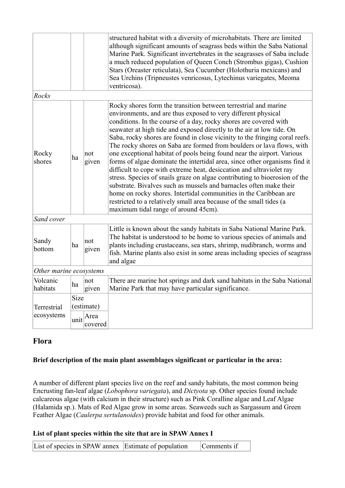|                         |             |                 | structured habitat with a diversity of microhabitats. There are limited<br>although significant amounts of seagrass beds within the Saba National<br>Marine Park. Significant invertebrates in the seagrasses of Saba include<br>a much reduced population of Queen Conch (Strombus gigas), Cushion<br>Stars (Oreaster reticulata), Sea Cucumber (Holothuria mexicans) and<br>Sea Urchins (Tripneustes venricosus, Lytechinus variegates, Meoma<br>ventricosa).                                                                                                                                                                                                                                                                                                                                                                                                                                                                                                                                                |
|-------------------------|-------------|-----------------|----------------------------------------------------------------------------------------------------------------------------------------------------------------------------------------------------------------------------------------------------------------------------------------------------------------------------------------------------------------------------------------------------------------------------------------------------------------------------------------------------------------------------------------------------------------------------------------------------------------------------------------------------------------------------------------------------------------------------------------------------------------------------------------------------------------------------------------------------------------------------------------------------------------------------------------------------------------------------------------------------------------|
| Rocks                   |             |                 |                                                                                                                                                                                                                                                                                                                                                                                                                                                                                                                                                                                                                                                                                                                                                                                                                                                                                                                                                                                                                |
| Rocky<br>shores         | ha          | not<br>given    | Rocky shores form the transition between terrestrial and marine<br>environments, and are thus exposed to very different physical<br>conditions. In the course of a day, rocky shores are covered with<br>seawater at high tide and exposed directly to the air at low tide. On<br>Saba, rocky shores are found in close vicinity to the fringing coral reefs.<br>The rocky shores on Saba are formed from boulders or lava flows, with<br>one exceptional habitat of pools being found near the airport. Various<br>forms of algae dominate the intertidal area, since other organisms find it<br>difficult to cope with extreme heat, desiccation and ultraviolet ray<br>stress. Species of snails graze on algae contributing to bioerosion of the<br>substrate. Bivalves such as mussels and barnacles often make their<br>home on rocky shores. Intertidal communities in the Caribbean are<br>restricted to a relatively small area because of the small tides (a<br>maximum tidal range of around 45cm). |
| Sand cover              |             |                 |                                                                                                                                                                                                                                                                                                                                                                                                                                                                                                                                                                                                                                                                                                                                                                                                                                                                                                                                                                                                                |
| Sandy<br>bottom         | ha          | not<br>given    | Little is known about the sandy habitats in Saba National Marine Park.<br>The habitat is understood to be home to various species of animals and<br>plants including crustaceans, sea stars, shrimp, nudibranch, worms and<br>fish. Marine plants also exist in some areas including species of seagrass<br>and algae                                                                                                                                                                                                                                                                                                                                                                                                                                                                                                                                                                                                                                                                                          |
| Other marine ecosystems |             |                 |                                                                                                                                                                                                                                                                                                                                                                                                                                                                                                                                                                                                                                                                                                                                                                                                                                                                                                                                                                                                                |
| Volcanic<br>habitats    | ha          | not<br>given    | There are marine hot springs and dark sand habitats in the Saba National<br>Marine Park that may have particular significance.                                                                                                                                                                                                                                                                                                                                                                                                                                                                                                                                                                                                                                                                                                                                                                                                                                                                                 |
| Terrestrial             | <b>Size</b> | (estimate)      |                                                                                                                                                                                                                                                                                                                                                                                                                                                                                                                                                                                                                                                                                                                                                                                                                                                                                                                                                                                                                |
| ecosystems              | unit        | Area<br>covered |                                                                                                                                                                                                                                                                                                                                                                                                                                                                                                                                                                                                                                                                                                                                                                                                                                                                                                                                                                                                                |

#### **Flora**

#### **Brief description of the main plant assemblages significant or particular in the area:**

A number of different plant species live on the reef and sandy habitats, the most common being Encrusting fan-leaf algae (*Lobophora variegata*), and *Dictyota* sp. Other species found include calcareous algae (with calcium in their structure) such as Pink Coralline algae and Leaf Algae (Halamida sp.). Mats of Red Algae grow in some areas. Seaweeds such as Sargassum and Green Feather Algae (*Caulerpa sertulanoides*) provide habitat and food for other animals.

#### **List of plant species within the site that are in SPAW Annex I**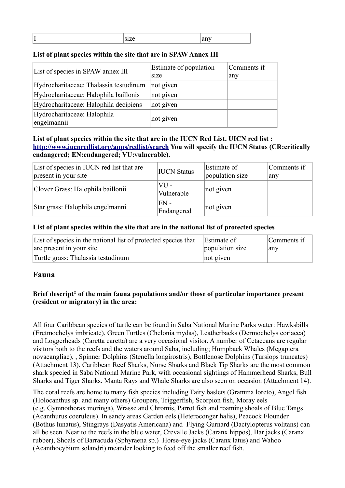|--|

#### **List of plant species within the site that are in SPAW Annex III**

| List of species in SPAW annex III          | Estimate of population<br>size | Comments if<br>any |
|--------------------------------------------|--------------------------------|--------------------|
| Hydrocharitaceae: Thalassia testudinum     | not given                      |                    |
| Hydrocharitaceae: Halophila baillonis      | not given                      |                    |
| Hydrocharitaceae: Halophila decipiens      | not given                      |                    |
| Hydrocharitaceae: Halophila<br>engelmannii | not given                      |                    |

#### **List of plant species within the site that are in the IUCN Red List. UICN red list : <http://www.iucnredlist.org/apps/redlist/search>You will specify the IUCN Status (CR:critically endangered; EN:endangered; VU:vulnerable).**

| List of species in IUCN red list that are<br>present in your site | <b>IUCN</b> Status   | Estimate of<br>population size | Comments if<br>any |
|-------------------------------------------------------------------|----------------------|--------------------------------|--------------------|
| Clover Grass: Halophila baillonii                                 | $VU -$<br>Vulnerable | not given                      |                    |
| Star grass: Halophila engelmanni                                  | $EN -$<br>Endangered | not given                      |                    |

#### **List of plant species within the site that are in the national list of protected species**

| List of species in the national list of protected species that | Estimate of     | Comments if |
|----------------------------------------------------------------|-----------------|-------------|
| are present in your site                                       | population size | any         |
| Turtle grass: Thalassia testudinum                             | not given       |             |

#### **Fauna**

#### **Brief descript° of the main fauna populations and/or those of particular importance present (resident or migratory) in the area:**

All four Caribbean species of turtle can be found in Saba National Marine Parks water: Hawksbills (Eretmochelys imbricate), Green Turtles (Chelonia mydas), Leatherbacks (Dermochelys coriacea) and Loggerheads (Caretta caretta) are a very occasional visitor. A number of Cetaceans are regular visitors both to the reefs and the waters around Saba, including; Humpback Whales (Megaptera novaeangliae), , Spinner Dolphins (Stenella longirostris), Bottlenose Dolphins (Tursiops truncates) (Attachment 13). Caribbean Reef Sharks, Nurse Sharks and Black Tip Sharks are the most common shark specied in Saba National Marine Park, with occasional sightings of Hammerhead Sharks, Bull Sharks and Tiger Sharks. Manta Rays and Whale Sharks are also seen on occasion (Attachment 14).

The coral reefs are home to many fish species including Fairy baslets (Gramma loreto), Angel fish (Holocanthus sp. and many others) Groupers, Triggerfish, Scorpion fish, Moray eels (e.g. Gymnothorax moringa), Wrasse and Chromis, Parrot fish and roaming shoals of Blue Tangs (Acanthurus coeruleus). In sandy areas Garden eels (Heteroconger halis), Peacock Flounder (Bothus lunatus), Stingrays (Dasyatis Americana) and Flying Gurnard (Dactylopterus volitans) can all be seen. Near to the reefs in the blue water, Crevalle Jacks (Caranx hippos), Bar jacks (Caranx rubber), Shoals of Barracuda (Sphyraena sp.) Horse-eye jacks (Caranx latus) and Wahoo (Acanthocybium solandri) meander looking to feed off the smaller reef fish.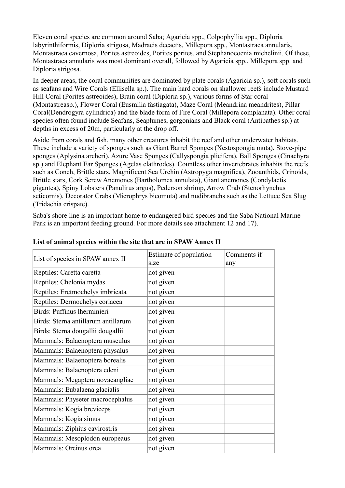Eleven coral species are common around Saba; Agaricia spp., Colpophyllia spp., Diploria labyrinthiformis, Diploria strigosa, Madracis decactis, Millepora spp., Montastraea annularis, Montastraea cavernosa, Porites astreoides, Porites porites, and Stephanocoenia michelinii. Of these, Montastraea annularis was most dominant overall, followed by Agaricia spp., Millepora spp. and Diploria strigosa.

In deeper areas, the coral communities are dominated by plate corals (Agaricia sp.), soft corals such as seafans and Wire Corals (Ellisella sp.). The main hard corals on shallower reefs include Mustard Hill Coral (Porites astreoides), Brain coral (Diploria sp.), various forms of Star coral (Montastreasp.), Flower Coral (Eusmilia fastiagata), Maze Coral (Meandrina meandrites), Pillar Coral(Dendrogyra cylindrica) and the blade form of Fire Coral (Millepora complanata). Other coral species often found include Seafans, Seaplumes, gorgonians and Black coral (Antipathes sp.) at depths in excess of 20m, particularly at the drop off.

Aside from corals and fish, many other creatures inhabit the reef and other underwater habitats. These include a variety of sponges such as Giant Barrel Sponges (Xestospongia muta), Stove-pipe sponges (Aplysina archeri), Azure Vase Sponges (Callyspongia plicifera), Ball Sponges (Cinachyra sp.) and Elephant Ear Sponges (Agelas clathrodes). Countless other invertebrates inhabits the reefs such as Conch, Brittle stars, Magnificent Sea Urchin (Astropyga magnifica), Zooanthids, Crinoids, Brittle stars, Cork Screw Anemones (Bartholomea annulata), Giant anemones (Condylactis gigantea), Spiny Lobsters (Panulirus argus), Pederson shrimp, Arrow Crab (Stenorhynchus seticornis), Decorator Crabs (Microphrys bicomuta) and nudibranchs such as the Lettuce Sea Slug (Tridachia crispate).

Saba's shore line is an important home to endangered bird species and the Saba National Marine Park is an important feeding ground. For more details see attachment 12 and 17).

| List of species in SPAW annex II    | Estimate of population<br>s <sub>1</sub> ze | Comments if |
|-------------------------------------|---------------------------------------------|-------------|
|                                     |                                             | any         |
| Reptiles: Caretta caretta           | not given                                   |             |
| Reptiles: Chelonia mydas            | not given                                   |             |
| Reptiles: Eretmochelys imbricata    | not given                                   |             |
| Reptiles: Dermochelys coriacea      | not given                                   |             |
| Birds: Puffinus lherminieri         | not given                                   |             |
| Birds: Sterna antillarum antillarum | not given                                   |             |
| Birds: Sterna dougallii dougallii   | not given                                   |             |
| Mammals: Balaenoptera musculus      | not given                                   |             |
| Mammals: Balaenoptera physalus      | not given                                   |             |
| Mammals: Balaenoptera borealis      | not given                                   |             |
| Mammals: Balaenoptera edeni         | not given                                   |             |
| Mammals: Megaptera novaeangliae     | not given                                   |             |
| Mammals: Eubalaena glacialis        | not given                                   |             |
| Mammals: Physeter macrocephalus     | not given                                   |             |
| Mammals: Kogia breviceps            | not given                                   |             |
| Mammals: Kogia simus                | not given                                   |             |
| Mammals: Ziphius cavirostris        | not given                                   |             |
| Mammals: Mesoplodon europeaus       | not given                                   |             |
| Mammals: Orcinus orca               | not given                                   |             |

#### **List of animal species within the site that are in SPAW Annex II**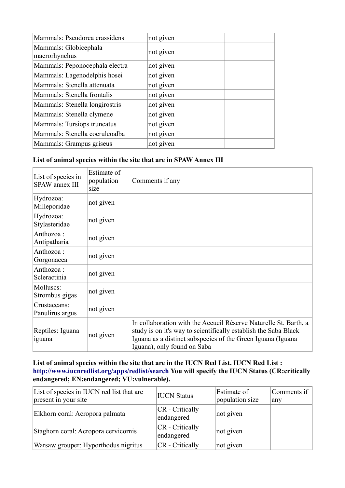| Mammals: Pseudorca crassidens          | not given |  |
|----------------------------------------|-----------|--|
| Mammals: Globicephala<br>macrorhynchus | not given |  |
| Mammals: Peponocephala electra         | not given |  |
| Mammals: Lagenodelphis hosei           | not given |  |
| Mammals: Stenella attenuata            | not given |  |
| Mammals: Stenella frontalis            | not given |  |
| Mammals: Stenella longirostris         | not given |  |
| Mammals: Stenella clymene              | not given |  |
| Mammals: Tursiops truncatus            | not given |  |
| Mammals: Stenella coeruleoalba         | not given |  |
| Mammals: Grampus griseus               | not given |  |

#### **List of animal species within the site that are in SPAW Annex III**

| List of species in<br><b>SPAW</b> annex III | Estimate of<br>population<br>size | Comments if any                                                                                                                                                                                                                    |
|---------------------------------------------|-----------------------------------|------------------------------------------------------------------------------------------------------------------------------------------------------------------------------------------------------------------------------------|
| Hydrozoa:<br>Milleporidae                   | not given                         |                                                                                                                                                                                                                                    |
| Hydrozoa:<br>Stylasteridae                  | not given                         |                                                                                                                                                                                                                                    |
| Anthozoa:<br>Antipatharia                   | not given                         |                                                                                                                                                                                                                                    |
| Anthozoa:<br>Gorgonacea                     | not given                         |                                                                                                                                                                                                                                    |
| Anthozoa:<br>Scleractinia                   | not given                         |                                                                                                                                                                                                                                    |
| Molluscs:<br>Strombus gigas                 | not given                         |                                                                                                                                                                                                                                    |
| Crustaceans:<br>Panulirus argus             | not given                         |                                                                                                                                                                                                                                    |
| Reptiles: Iguana<br>iguana                  | not given                         | In collaboration with the Accueil Réserve Naturelle St. Barth, a<br>study is on it's way to scientifically establish the Saba Black<br>Iguana as a distinct subspecies of the Green Iguana (Iguana)<br>Iguana), only found on Saba |

#### **List of animal species within the site that are in the IUCN Red List. IUCN Red List : <http://www.iucnredlist.org/apps/redlist/search>You will specify the IUCN Status (CR:critically endangered; EN:endangered; VU:vulnerable).**

| List of species in IUCN red list that are<br>present in your site | <b>IUCN Status</b>              | Estimate of<br>population size | Comments if<br>any |
|-------------------------------------------------------------------|---------------------------------|--------------------------------|--------------------|
| Elkhorn coral: Acropora palmata                                   | $CR$ - Critically<br>endangered | not given                      |                    |
| Staghorn coral: Acropora cervicornis                              | $CR$ - Critically<br>endangered | not given                      |                    |
| Warsaw grouper: Hyporthodus nigritus                              | $CR$ - Critically               | not given                      |                    |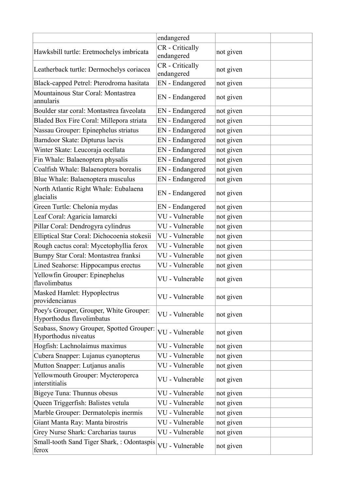|                                                                      | endangered                    |           |  |
|----------------------------------------------------------------------|-------------------------------|-----------|--|
| Hawksbill turtle: Eretmochelys imbricata                             | CR - Critically<br>endangered | not given |  |
| Leatherback turtle: Dermochelys coriacea                             | CR - Critically<br>endangered | not given |  |
| Black-capped Petrel: Pterodroma hasitata                             | EN - Endangered               | not given |  |
| Mountainous Star Coral: Montastrea<br>annularis                      | EN - Endangered               | not given |  |
| Boulder star coral: Montastrea faveolata                             | EN - Endangered               | not given |  |
| Bladed Box Fire Coral: Millepora striata                             | EN - Endangered               | not given |  |
| Nassau Grouper: Epinephelus striatus                                 | EN - Endangered               | not given |  |
| Barndoor Skate: Dipturus laevis                                      | EN - Endangered               | not given |  |
| Winter Skate: Leucoraja ocellata                                     | EN - Endangered               | not given |  |
| Fin Whale: Balaenoptera physalis                                     | EN - Endangered               | not given |  |
| Coalfish Whale: Balaenoptera borealis                                | EN - Endangered               | not given |  |
| Blue Whale: Balaenoptera musculus                                    | EN - Endangered               | not given |  |
| North Atlantic Right Whale: Eubalaena<br>glacialis                   | EN - Endangered               | not given |  |
| Green Turtle: Chelonia mydas                                         | EN - Endangered               | not given |  |
| Leaf Coral: Agaricia lamarcki                                        | VU - Vulnerable               | not given |  |
| Pillar Coral: Dendrogyra cylindrus                                   | VU - Vulnerable               | not given |  |
| Elliptical Star Coral: Dichocoenia stokesii                          | VU - Vulnerable               | not given |  |
| Rough cactus coral: Mycetophyllia ferox                              | VU - Vulnerable               | not given |  |
| Bumpy Star Coral: Montastrea franksi                                 | VU - Vulnerable               | not given |  |
| Lined Seahorse: Hippocampus erectus                                  | VU - Vulnerable               | not given |  |
| Yellowfin Grouper: Epinephelus<br>flavolimbatus                      | VU - Vulnerable               | not given |  |
| Masked Hamlet: Hypoplectrus<br>providencianus                        | VU - Vulnerable               | not given |  |
| Poey's Grouper, Grouper, White Grouper:<br>Hyporthodus flavolimbatus | VU - Vulnerable               | not given |  |
| Seabass, Snowy Grouper, Spotted Grouper:<br>Hyporthodus niveatus     | VU - Vulnerable               | not given |  |
| Hogfish: Lachnolaimus maximus                                        | VU - Vulnerable               | not given |  |
| Cubera Snapper: Lujanus cyanopterus                                  | VU - Vulnerable               | not given |  |
| Mutton Snapper: Lutjanus analis                                      | VU - Vulnerable               | not given |  |
| Yellowmouth Grouper: Mycteroperca<br>interstitialis                  | VU - Vulnerable               | not given |  |
| Bigeye Tuna: Thunnus obesus                                          | VU - Vulnerable               | not given |  |
| Queen Triggerfish: Balistes vetula                                   | VU - Vulnerable               | not given |  |
| Marble Grouper: Dermatolepis inermis                                 | VU - Vulnerable               | not given |  |
| Giant Manta Ray: Manta birostris                                     | VU - Vulnerable               | not given |  |
| Grey Nurse Shark: Carcharias taurus                                  | VU - Vulnerable               | not given |  |
| Small-tooth Sand Tiger Shark, : Odontaspis<br>ferox                  | VU - Vulnerable               | not given |  |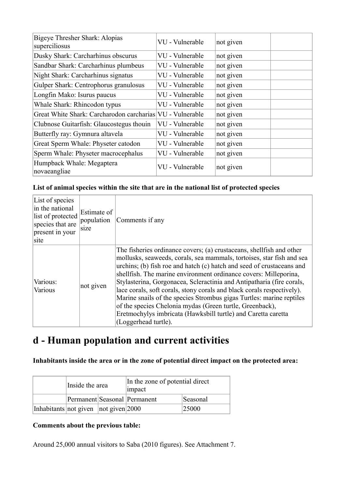| Bigeye Thresher Shark: Alopias<br>superciliosus           | VU - Vulnerable | not given |
|-----------------------------------------------------------|-----------------|-----------|
| Dusky Shark: Carcharhinus obscurus                        | VU - Vulnerable | not given |
| Sandbar Shark: Carcharhinus plumbeus                      | VU - Vulnerable | not given |
| Night Shark: Carcharhinus signatus                        | VU - Vulnerable | not given |
| Gulper Shark: Centrophorus granulosus                     | VU - Vulnerable | not given |
| Longfin Mako: Isurus paucus                               | VU - Vulnerable | not given |
| Whale Shark: Rhincodon typus                              | VU - Vulnerable | not given |
| Great White Shark: Carcharodon carcharias VU - Vulnerable |                 | not given |
| Clubnose Guitarfish: Glaucostegus thouin                  | VU - Vulnerable | not given |
| Butterfly ray: Gymnura altavela                           | VU - Vulnerable | not given |
| Great Sperm Whale: Physeter catodon                       | VU - Vulnerable | not given |
| Sperm Whale: Physeter macrocephalus                       | VU - Vulnerable | not given |
| Humpback Whale: Megaptera<br>novaeangliae                 | VU - Vulnerable | not given |

#### **List of animal species within the site that are in the national list of protected species**

| List of species<br>in the national<br>list of protected<br>species that are<br>present in your<br>site | Estimate of<br>population<br>size | Comments if any                                                                                                                                                                                                                                                                                                                                                                                                                                                                                                                                                                                                                                                            |
|--------------------------------------------------------------------------------------------------------|-----------------------------------|----------------------------------------------------------------------------------------------------------------------------------------------------------------------------------------------------------------------------------------------------------------------------------------------------------------------------------------------------------------------------------------------------------------------------------------------------------------------------------------------------------------------------------------------------------------------------------------------------------------------------------------------------------------------------|
| Various:<br>Various                                                                                    | not given                         | The fisheries ordinance covers; (a) crustaceans, shellfish and other<br>mollusks, seaweeds, corals, sea mammals, tortoises, star fish and sea<br>urchins; (b) fish roe and hatch (c) hatch and seed of crustaceans and<br>shellfish. The marine environment ordinance covers: Milleporina,<br>Stylasterina, Gorgonacea, Scleractinia and Antipatharia (fire corals,<br>lace corals, soft corals, stony corals and black corals respectively).<br>Marine snails of the species Strombus gigas Turtles: marine reptiles<br>of the species Chelonia mydas (Green turtle, Greenback),<br>Eretmochylys imbricata (Hawksbill turtle) and Caretta caretta<br>(Loggerhead turtle). |

### **d - Human population and current activities**

**Inhabitants inside the area or in the zone of potential direct impact on the protected area:** 

|                                            | Inside the area | In the zone of potential direct<br>impact |          |  |
|--------------------------------------------|-----------------|-------------------------------------------|----------|--|
|                                            |                 | Permanent Seasonal Permanent              | Seasonal |  |
| Inhabitants not given $ not\> given  2000$ |                 |                                           | 25000    |  |

#### **Comments about the previous table:**

Around 25,000 annual visitors to Saba (2010 figures). See Attachment 7.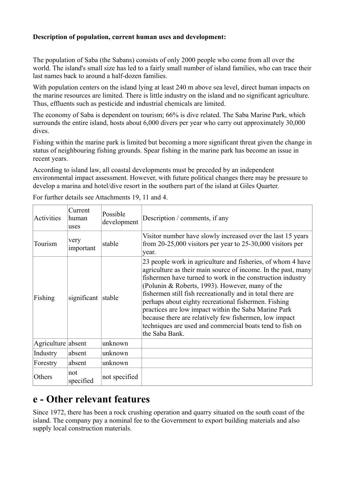#### **Description of population, current human uses and development:**

The population of Saba (the Sabans) consists of only 2000 people who come from all over the world. The island's small size has led to a fairly small number of island families, who can trace their last names back to around a half-dozen families.

With population centers on the island lying at least 240 m above sea level, direct human impacts on the marine resources are limited. There is little industry on the island and no significant agriculture. Thus, effluents such as pesticide and industrial chemicals are limited.

The economy of Saba is dependent on tourism; 66% is dive related. The Saba Marine Park, which surrounds the entire island, hosts about 6,000 divers per year who carry out approximately 30,000 dives.

Fishing within the marine park is limited but becoming a more significant threat given the change in status of neighbouring fishing grounds. Spear fishing in the marine park has become an issue in recent years.

According to island law, all coastal developments must be preceded by an independent environmental impact assessment. However, with future political changes there may be pressure to develop a marina and hotel/dive resort in the southern part of the island at Giles Quarter.

| Activities         | Current<br>human<br>uses | Possible<br>development | Description / comments, if any                                                                                                                                                                                                                                                                                                                                                                                                                                                                                                                                      |
|--------------------|--------------------------|-------------------------|---------------------------------------------------------------------------------------------------------------------------------------------------------------------------------------------------------------------------------------------------------------------------------------------------------------------------------------------------------------------------------------------------------------------------------------------------------------------------------------------------------------------------------------------------------------------|
| Tourism            | very<br>important        | stable                  | Visitor number have slowly increased over the last 15 years<br>from $20-25,000$ visitors per year to $25-30,000$ visitors per<br>year.                                                                                                                                                                                                                                                                                                                                                                                                                              |
| Fishing            | significant stable       |                         | 23 people work in agriculture and fisheries, of whom 4 have<br>agriculture as their main source of income. In the past, many<br>fishermen have turned to work in the construction industry<br>(Polunin & Roberts, 1993). However, many of the<br>fishermen still fish recreationally and in total there are<br>perhaps about eighty recreational fishermen. Fishing<br>practices are low impact within the Saba Marine Park<br>because there are relatively few fishermen, low impact<br>techniques are used and commercial boats tend to fish on<br>the Saba Bank. |
| Agriculture absent |                          | unknown                 |                                                                                                                                                                                                                                                                                                                                                                                                                                                                                                                                                                     |
| Industry           | absent                   | unknown                 |                                                                                                                                                                                                                                                                                                                                                                                                                                                                                                                                                                     |
| Forestry           | absent                   | unknown                 |                                                                                                                                                                                                                                                                                                                                                                                                                                                                                                                                                                     |
| Others             | not<br>specified         | not specified           |                                                                                                                                                                                                                                                                                                                                                                                                                                                                                                                                                                     |

For further details see Attachments 19, 11 and 4.

### **e - Other relevant features**

Since 1972, there has been a rock crushing operation and quarry situated on the south coast of the island. The company pay a nominal fee to the Government to export building materials and also supply local construction materials.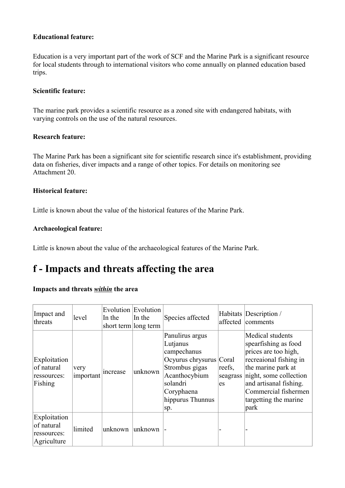#### **Educational feature:**

Education is a very important part of the work of SCF and the Marine Park is a significant resource for local students through to international visitors who come annually on planned education based trips.

#### **Scientific feature:**

The marine park provides a scientific resource as a zoned site with endangered habitats, with varying controls on the use of the natural resources.

#### **Research feature:**

The Marine Park has been a significant site for scientific research since it's establishment, providing data on fisheries, diver impacts and a range of other topics. For details on monitoring see Attachment 20.

#### **Historical feature:**

Little is known about the value of the historical features of the Marine Park.

#### **Archaeological feature:**

Little is known about the value of the archaeological features of the Marine Park.

### **f - Impacts and threats affecting the area**

#### **Impacts and threats** *within* **the area**

| Impact and<br>threats                                    | level             | In the   | Evolution Evolution<br>In the<br>short term long term | Species affected                                                                                                                                              | affected                 | Habitats Description /<br>comments                                                                                                                                                                                            |
|----------------------------------------------------------|-------------------|----------|-------------------------------------------------------|---------------------------------------------------------------------------------------------------------------------------------------------------------------|--------------------------|-------------------------------------------------------------------------------------------------------------------------------------------------------------------------------------------------------------------------------|
| Exploitation<br>of natural<br>ressources:<br>Fishing     | very<br>important | increase | unknown                                               | Panulirus argus<br>Lutjanus<br>campechanus<br>Ocyurus chrysurus Coral<br>Strombus gigas<br>Acanthocybium<br>solandri<br>Coryphaena<br>hippurus Thunnus<br>sp. | reefs,<br>seagrass<br>es | Medical students<br>spearfishing as food<br>prices are too high,<br>recreaional fishing in<br>the marine park at<br>night, some collection<br>and artisanal fishing.<br>Commercial fishermen<br>targetting the marine<br>park |
| Exploitation<br>of natural<br>ressources:<br>Agriculture | limited           | unknown  | unknown                                               |                                                                                                                                                               |                          |                                                                                                                                                                                                                               |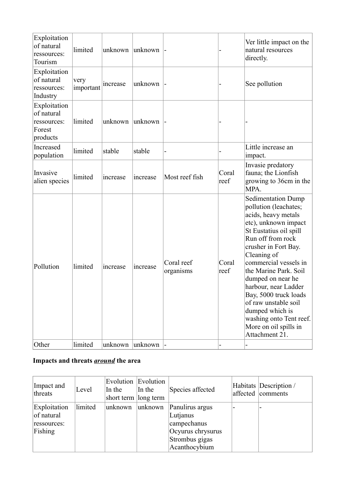| Exploitation<br>of natural<br>ressources:<br>Tourism            | limited           | unknown  | unknown  |                         |               | Ver little impact on the<br>natural resources<br>directly.                                                                                                                                                                                                                                                                                                                                                                       |
|-----------------------------------------------------------------|-------------------|----------|----------|-------------------------|---------------|----------------------------------------------------------------------------------------------------------------------------------------------------------------------------------------------------------------------------------------------------------------------------------------------------------------------------------------------------------------------------------------------------------------------------------|
| Exploitation<br>of natural<br>ressources:<br>Industry           | very<br>important | increase | unknown  |                         |               | See pollution                                                                                                                                                                                                                                                                                                                                                                                                                    |
| Exploitation<br>of natural<br>ressources:<br>Forest<br>products | limited           | unknown  | unknown  |                         |               |                                                                                                                                                                                                                                                                                                                                                                                                                                  |
| Increased<br>population                                         | limited           | stable   | stable   |                         |               | Little increase an<br>impact.                                                                                                                                                                                                                                                                                                                                                                                                    |
| Invasive<br>alien species                                       | limited           | increase | increase | Most reef fish          | Coral<br>reef | Invasie predatory<br>fauna; the Lionfish<br>growing to 36cm in the<br>MPA.                                                                                                                                                                                                                                                                                                                                                       |
| Pollution                                                       | limited           | increase | increase | Coral reef<br>organisms | Coral<br>reef | <b>Sedimentation Dump</b><br>pollution (leachates;<br>acids, heavy metals<br>etc), unknown impact<br>St Eustatius oil spill<br>Run off from rock<br>crusher in Fort Bay.<br>Cleaning of<br>commercial vessels in<br>the Marine Park. Soil<br>dumped on near he<br>harbour, near Ladder<br>Bay, 5000 truck loads<br>of raw unstable soil<br>dumped which is<br>washing onto Tent reef.<br>More on oil spills in<br>Attachment 21. |
| Other                                                           | limited           | unknown  | unknown  |                         |               |                                                                                                                                                                                                                                                                                                                                                                                                                                  |

### **Impacts and threats** *around* **the area**

| Impact and<br>threats                                | Level   | Evolution Evolution<br>In the<br>short term long term | In the   | Species affected                                                                                   | Habitats   Description /<br>affected comments |
|------------------------------------------------------|---------|-------------------------------------------------------|----------|----------------------------------------------------------------------------------------------------|-----------------------------------------------|
| Exploitation<br>of natural<br>ressources:<br>Fishing | limited | unknown                                               | lunknown | Panulirus argus<br>Lutjanus<br>campechanus<br>Ocyurus chrysurus<br>Strombus gigas<br>Acanthocybium |                                               |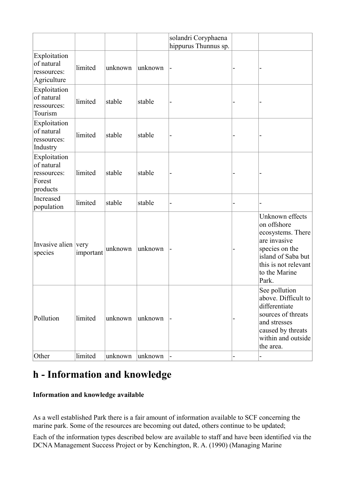|                                                                 |           |         |         | solandri Coryphaena<br>hippurus Thunnus sp. |                                                                                                                                                               |
|-----------------------------------------------------------------|-----------|---------|---------|---------------------------------------------|---------------------------------------------------------------------------------------------------------------------------------------------------------------|
| Exploitation<br>of natural<br>ressources:<br>Agriculture        | limited   | unknown | unknown | -                                           |                                                                                                                                                               |
| Exploitation<br>of natural<br>ressources:<br>Tourism            | limited   | stable  | stable  |                                             |                                                                                                                                                               |
| Exploitation<br>of natural<br>ressources:<br>Industry           | limited   | stable  | stable  |                                             |                                                                                                                                                               |
| Exploitation<br>of natural<br>ressources:<br>Forest<br>products | limited   | stable  | stable  |                                             |                                                                                                                                                               |
| Increased<br>population                                         | limited   | stable  | stable  |                                             |                                                                                                                                                               |
| Invasive alien very<br>species                                  | important | unknown | unknown | -                                           | Unknown effects<br>on offshore<br>ecosystems. There<br>are invasive<br>species on the<br>island of Saba but<br>this is not relevant<br>to the Marine<br>Park. |
| Pollution                                                       | limited   | unknown | unknown |                                             | See pollution<br>above. Difficult to<br>differentiate<br>sources of threats<br>and stresses<br>caused by threats<br>within and outside<br>the area.           |
| Other                                                           | limited   | unknown | unknown |                                             |                                                                                                                                                               |

### **h - Information and knowledge**

#### **Information and knowledge available**

As a well established Park there is a fair amount of information available to SCF concerning the marine park. Some of the resources are becoming out dated, others continue to be updated;

Each of the information types described below are available to staff and have been identified via the DCNA Management Success Project or by Kenchington, R. A. (1990) (Managing Marine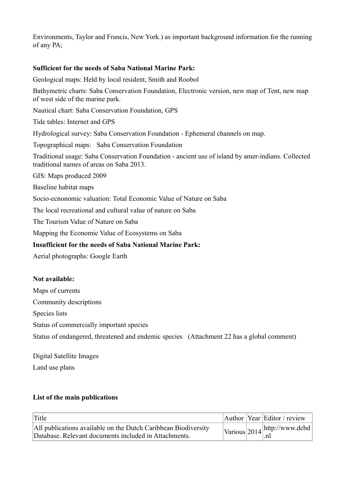Environments, Taylor and Francis, New York.) as important background information for the running of any PA;

#### **Sufficient for the needs of Saba National Marine Park:**

Geological maps: Held by local resident, Smith and Roobol

Bathymetric charts: Saba Conservation Foundation, Electronic version, new map of Tent, new map of west side of the marine park.

Nautical chart: Saba Conservation Foundation, GPS

Tide tables: Internet and GPS

Hydrological survey: Saba Conservation Foundation - Ephemeral channels on map.

Topographical maps: Saba Conservation Foundation

Traditional usage: Saba Conservation Foundation - ancient use of island by amer-indians. Collected traditional names of areas on Saba 2013.

GIS: Maps produced 2009

Baseline habitat maps

Socio-ecnonomic valuation: Total Economic Value of Nature on Saba

The local recreational and cultural value of nature on Saba

The Tourism Value of Nature on Saba

Mapping the Economic Value of Ecosystems on Saba

#### **Insufficient for the needs of Saba National Marine Park:**

Aerial photographs: Google Earth

#### **Not available:**

Maps of currents

Community descriptions

Species lists

Status of commercially important species

Status of endangered, threatened and endemic species (Attachment 22 has a global comment)

Digital Satellite Images

Land use plans

#### **List of the main publications**

| Title                                                                                                                   |  | Author Year Editor / review                                  |
|-------------------------------------------------------------------------------------------------------------------------|--|--------------------------------------------------------------|
| All publications available on the Dutch Caribbean Biodiversity<br>Database. Relevant documents included in Attachments. |  | $\left  \frac{\text{Various}}{2014} \right $ http://www.dcbd |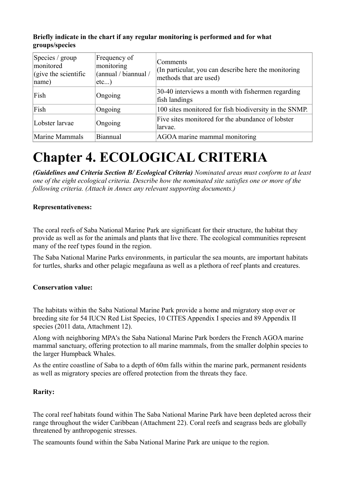#### **Briefly indicate in the chart if any regular monitoring is performed and for what groups/species**

| Species / group<br>monitored<br>$\left  \right $ (give the scientific<br> name) | Frequency of<br>monitoring<br>(annual / biannual /<br>$etc$ ) | Comments<br>(In particular, you can describe here the monitoring<br>methods that are used) |
|---------------------------------------------------------------------------------|---------------------------------------------------------------|--------------------------------------------------------------------------------------------|
| Fish                                                                            | Ongoing                                                       | 30-40 interviews a month with fishermen regarding<br>fish landings                         |
| Fish                                                                            | Ongoing                                                       | 100 sites monitored for fish biodiversity in the SNMP.                                     |
| Lobster larvae                                                                  | Ongoing                                                       | Five sites monitored for the abundance of lobster<br>larvae.                               |
| Marine Mammals                                                                  | Biannual                                                      | AGOA marine mammal monitoring                                                              |

## **Chapter 4. ECOLOGICAL CRITERIA**

*(Guidelines and Criteria Section B/ Ecological Criteria) Nominated areas must conform to at least one of the eight ecological criteria. Describe how the nominated site satisfies one or more of the following criteria. (Attach in Annex any relevant supporting documents.)*

#### **Representativeness:**

The coral reefs of Saba National Marine Park are significant for their structure, the habitat they provide as well as for the animals and plants that live there. The ecological communities represent many of the reef types found in the region.

The Saba National Marine Parks environments, in particular the sea mounts, are important habitats for turtles, sharks and other pelagic megafauna as well as a plethora of reef plants and creatures.

#### **Conservation value:**

The habitats within the Saba National Marine Park provide a home and migratory stop over or breeding site for 54 IUCN Red List Species, 10 CITES Appendix I species and 89 Appendix II species (2011 data, Attachment 12).

Along with neighboring MPA's the Saba National Marine Park borders the French AGOA marine mammal sanctuary, offering protection to all marine mammals, from the smaller dolphin species to the larger Humpback Whales.

As the entire coastline of Saba to a depth of 60m falls within the marine park, permanent residents as well as migratory species are offered protection from the threats they face.

#### **Rarity:**

The coral reef habitats found within The Saba National Marine Park have been depleted across their range throughout the wider Caribbean (Attachment 22). Coral reefs and seagrass beds are globally threatened by anthropogenic stresses.

The seamounts found within the Saba National Marine Park are unique to the region.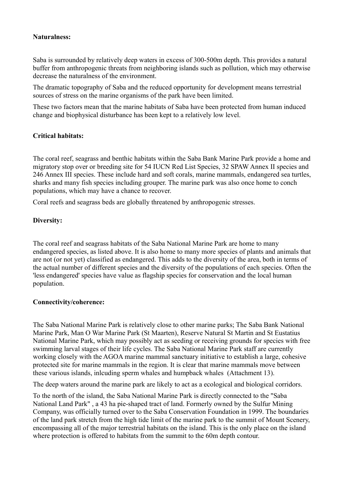#### **Naturalness:**

Saba is surrounded by relatively deep waters in excess of 300-500m depth. This provides a natural buffer from anthropogenic threats from neighboring islands such as pollution, which may otherwise decrease the naturalness of the environment.

The dramatic topography of Saba and the reduced opportunity for development means terrestrial sources of stress on the marine organisms of the park have been limited.

These two factors mean that the marine habitats of Saba have been protected from human induced change and biophysical disturbance has been kept to a relatively low level.

#### **Critical habitats:**

The coral reef, seagrass and benthic habitats within the Saba Bank Marine Park provide a home and migratory stop over or breeding site for 54 IUCN Red List Species, 32 SPAW Annex II species and 246 Annex III species. These include hard and soft corals, marine mammals, endangered sea turtles, sharks and many fish species including grouper. The marine park was also once home to conch populations, which may have a chance to recover.

Coral reefs and seagrass beds are globally threatened by anthropogenic stresses.

#### **Diversity:**

The coral reef and seagrass habitats of the Saba National Marine Park are home to many endangered species, as listed above. It is also home to many more species of plants and animals that are not (or not yet) classified as endangered. This adds to the diversity of the area, both in terms of the actual number of different species and the diversity of the populations of each species. Often the 'less endangered' species have value as flagship species for conservation and the local human population.

#### **Connectivity/coherence:**

The Saba National Marine Park is relatively close to other marine parks; The Saba Bank National Marine Park, Man O War Marine Park (St Maarten), Reserve Natural St Martin and St Eustatius National Marine Park, which may possibly act as seeding or receiving grounds for species with free swimming larval stages of their life cycles. The Saba National Marine Park staff are currently working closely with the AGOA marine mammal sanctuary initiative to establish a large, cohesive protected site for marine mammals in the region. It is clear that marine mammals move between these various islands, inlcuding sperm whales and humpback whales (Attachment 13).

The deep waters around the marine park are likely to act as a ecological and biological corridors.

To the north of the island, the Saba National Marine Park is directly connected to the "Saba National Land Park" , a 43 ha pie-shaped tract of land. Formerly owned by the Sulfur Mining Company, was officially turned over to the Saba Conservation Foundation in 1999. The boundaries of the land park stretch from the high tide limit of the marine park to the summit of Mount Scenery, encompassing all of the major terrestrial habitats on the island. This is the only place on the island where protection is offered to habitats from the summit to the 60m depth contour.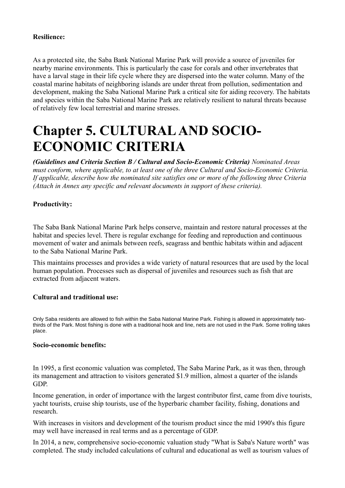#### **Resilience:**

As a protected site, the Saba Bank National Marine Park will provide a source of juveniles for nearby marine environments. This is particularly the case for corals and other invertebrates that have a larval stage in their life cycle where they are dispersed into the water column. Many of the coastal marine habitats of neighboring islands are under threat from pollution, sedimentation and development, making the Saba National Marine Park a critical site for aiding recovery. The habitats and species within the Saba National Marine Park are relatively resilient to natural threats because of relatively few local terrestrial and marine stresses.

## **Chapter 5. CULTURAL AND SOCIO-ECONOMIC CRITERIA**

*(Guidelines and Criteria Section B / Cultural and Socio-Economic Criteria) Nominated Areas must conform, where applicable, to at least one of the three Cultural and Socio-Economic Criteria. If applicable, describe how the nominated site satisfies one or more of the following three Criteria (Attach in Annex any specific and relevant documents in support of these criteria).*

#### **Productivity:**

The Saba Bank National Marine Park helps conserve, maintain and restore natural processes at the habitat and species level. There is regular exchange for feeding and reproduction and continuous movement of water and animals between reefs, seagrass and benthic habitats within and adjacent to the Saba National Marine Park.

This maintains processes and provides a wide variety of natural resources that are used by the local human population. Processes such as dispersal of juveniles and resources such as fish that are extracted from adjacent waters.

#### **Cultural and traditional use:**

Only Saba residents are allowed to fish within the Saba National Marine Park. Fishing is allowed in approximately twothirds of the Park. Most fishing is done with a traditional hook and line, nets are not used in the Park. Some trolling takes place.

#### **Socio-economic benefits:**

In 1995, a first economic valuation was completed, The Saba Marine Park, as it was then, through its management and attraction to visitors generated \$1.9 million, almost a quarter of the islands GDP.

Income generation, in order of importance with the largest contributor first, came from dive tourists, yacht tourists, cruise ship tourists, use of the hyperbaric chamber facility, fishing, donations and research.

With increases in visitors and development of the tourism product since the mid 1990's this figure may well have increased in real terms and as a percentage of GDP.

In 2014, a new, comprehensive socio-economic valuation study "What is Saba's Nature worth" was completed. The study included calculations of cultural and educational as well as tourism values of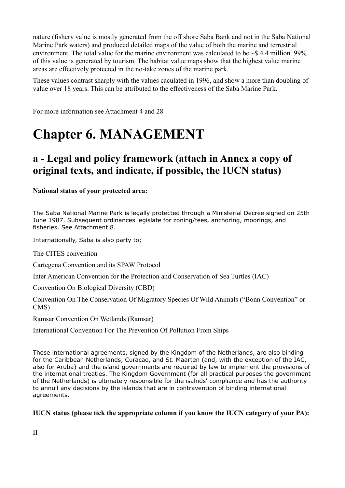nature (fishery value is mostly generated from the off shore Saba Bank and not in the Saba National Marine Park waters) and produced detailed maps of the value of both the marine and terrestrial environment. The total value for the marine environment was calculated to be  $\sim$ \$4.4 million. 99% of this value is generated by tourism. The habitat value maps show that the highest value marine areas are effectively protected in the no-take zones of the marine park.

These values contrast sharply with the values caculated in 1996, and show a more than doubling of value over 18 years. This can be attributed to the effectiveness of the Saba Marine Park.

For more information see Attachment 4 and 28

## **Chapter 6. MANAGEMENT**

### **a - Legal and policy framework (attach in Annex a copy of original texts, and indicate, if possible, the IUCN status)**

**National status of your protected area:**

The Saba National Marine Park is legally protected through a Ministerial Decree signed on 25th June 1987. Subsequent ordinances legislate for zoning/fees, anchoring, moorings, and fisheries. See Attachment 8.

Internationally, Saba is also party to;

The CITES convention

Cartegena Convention and its SPAW Protocol

Inter American Convention for the Protection and Conservation of Sea Turtles (IAC)

Convention On Biological Diversity (CBD)

Convention On The Conservation Of Migratory Species Of Wild Animals ("Bonn Convention" or CMS)

Ramsar Convention On Wetlands (Ramsar)

International Convention For The Prevention Of Pollution From Ships

These international agreements, signed by the Kingdom of the Netherlands, are also binding for the Caribbean Netherlands, Curacao, and St. Maarten (and, with the exception of the IAC, also for Aruba) and the island governments are required by law to implement the provisions of the international treaties. The Kingdom Government (for all practical purposes the government of the Netherlands) is ultimately responsible for the isalnds' compliance and has the authority to annull any decisions by the islands that are in contravention of binding international agreements.

#### **IUCN status (please tick the appropriate column if you know the IUCN category of your PA):**

II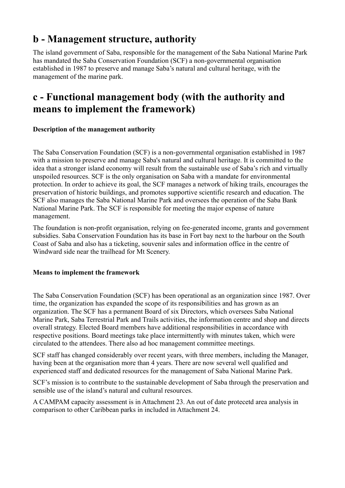### **b - Management structure, authority**

The island government of Saba, responsible for the management of the Saba National Marine Park has mandated the Saba Conservation Foundation (SCF) a non-governmental organisation established in 1987 to preserve and manage Saba's natural and cultural heritage, with the management of the marine park.

### **c - Functional management body (with the authority and means to implement the framework)**

#### **Description of the management authority**

The Saba Conservation Foundation (SCF) is a non-governmental organisation established in 1987 with a mission to preserve and manage Saba's natural and cultural heritage. It is committed to the idea that a stronger island economy will result from the sustainable use of Saba's rich and virtually unspoiled resources. SCF is the only organisation on Saba with a mandate for environmental protection. In order to achieve its goal, the SCF manages a network of hiking trails, encourages the preservation of historic buildings, and promotes supportive scientific research and education. The SCF also manages the Saba National Marine Park and oversees the operation of the Saba Bank National Marine Park. The SCF is responsible for meeting the major expense of nature management.

The foundation is non-profit organisation, relying on fee-generated income, grants and government subsidies. Saba Conservation Foundation has its base in Fort bay next to the harbour on the South Coast of Saba and also has a ticketing, souvenir sales and information office in the centre of Windward side near the trailhead for Mt Scenery.

#### **Means to implement the framework**

The Saba Conservation Foundation (SCF) has been operational as an organization since 1987. Over time, the organization has expanded the scope of its responsibilities and has grown as an organization. The SCF has a permanent Board of six Directors, which oversees Saba National Marine Park, Saba Terrestrial Park and Trails activities, the information centre and shop and directs overall strategy. Elected Board members have additional responsibilities in accordance with respective positions. Board meetings take place intermittently with minutes taken, which were circulated to the attendees. There also ad hoc management committee meetings.

SCF staff has changed considerably over recent years, with three members, including the Manager, having been at the organisation more than 4 years. There are now several well qualified and experienced staff and dedicated resources for the management of Saba National Marine Park.

SCF's mission is to contribute to the sustainable development of Saba through the preservation and sensible use of the island's natural and cultural resources.

A CAMPAM capacity assessment is in Attachment 23. An out of date protecetd area analysis in comparison to other Caribbean parks in included in Attachment 24.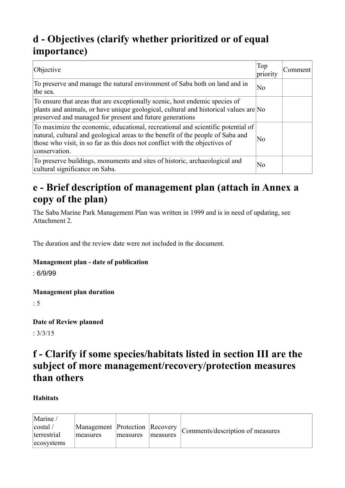## **d - Objectives (clarify whether prioritized or of equal importance)**

| Objective                                                                                                                                                                                                                                                          | Top<br>priority | Comment |
|--------------------------------------------------------------------------------------------------------------------------------------------------------------------------------------------------------------------------------------------------------------------|-----------------|---------|
| To preserve and manage the natural environment of Saba both on land and in<br>the sea.                                                                                                                                                                             | N <sub>0</sub>  |         |
| To ensure that areas that are exceptionally scenic, host endemic species of<br>plants and animals, or have unique geological, cultural and historical values are No<br>preserved and managed for present and future generations                                    |                 |         |
| To maximize the economic, educational, recreational and scientific potential of<br>natural, cultural and geological areas to the benefit of the people of Saba and<br>those who visit, in so far as this does not conflict with the objectives of<br>conservation. | N <sub>0</sub>  |         |
| To preserve buildings, monuments and sites of historic, archaeological and<br>cultural significance on Saba.                                                                                                                                                       | N <sub>0</sub>  |         |

### **e - Brief description of management plan (attach in Annex a copy of the plan)**

The Saba Marine Park Management Plan was written in 1999 and is in need of updating, see Attachment 2.

The duration and the review date were not included in the document.

#### **Management plan - date of publication**

: 6/9/99

#### **Management plan duration**

: 5

**Date of Review planned** 

: 3/3/15

### **f - Clarify if some species/habitats listed in section III are the subject of more management/recovery/protection measures than others**

#### **Habitats**

| Marine /                             |                                            |          |          |                                  |
|--------------------------------------|--------------------------------------------|----------|----------|----------------------------------|
| costal <br>terrestrial<br>ecosystems | Management Protection Recovery<br>measures | measures | measures | Comments/description of measures |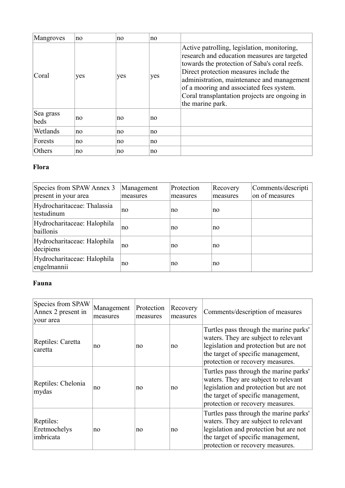| Mangroves         | no  | no  | no  |                                                                                                                                                                                                                                                                                                                                                       |
|-------------------|-----|-----|-----|-------------------------------------------------------------------------------------------------------------------------------------------------------------------------------------------------------------------------------------------------------------------------------------------------------------------------------------------------------|
| Coral             | yes | yes | yes | Active patrolling, legislation, monitoring,<br>research and education measures are targeted<br>towards the protection of Saba's coral reefs.<br>Direct protection measures include the<br>administration, maintenance and management<br>of a mooring and associated fees system.<br>Coral transplantation projects are ongoing in<br>the marine park. |
| Sea grass<br>beds | no  | no  | no  |                                                                                                                                                                                                                                                                                                                                                       |
| Wetlands          | no  | no  | no  |                                                                                                                                                                                                                                                                                                                                                       |
| Forests           | no  | no  | no  |                                                                                                                                                                                                                                                                                                                                                       |
| Others            | no  | no  | no  |                                                                                                                                                                                                                                                                                                                                                       |

#### **Flora**

| Species from SPAW Annex 3<br>present in your area | Management<br>measures | Protection<br>measures | Recovery<br>measures | Comments/descripti<br>on of measures |
|---------------------------------------------------|------------------------|------------------------|----------------------|--------------------------------------|
| Hydrocharitaceae: Thalassia<br>testudinum         | no                     | no                     | no                   |                                      |
| Hydrocharitaceae: Halophila<br>baillonis          | no                     | no                     | no                   |                                      |
| Hydrocharitaceae: Halophila<br>decipiens          | no                     | no                     | no                   |                                      |
| Hydrocharitaceae: Halophila<br>engelmannii        | no                     | no                     | no                   |                                      |

#### **Fauna**

| Species from SPAW<br>Annex 2 present in<br>your area | Management<br>measures | Protection<br>measures | Recovery<br>measures | Comments/description of measures                                                                                                                                                                   |
|------------------------------------------------------|------------------------|------------------------|----------------------|----------------------------------------------------------------------------------------------------------------------------------------------------------------------------------------------------|
| Reptiles: Caretta<br>caretta                         | no                     | no                     | no                   | Turtles pass through the marine parks'<br>waters. They are subject to relevant<br>legislation and protection but are not<br>the target of specific management,<br>protection or recovery measures. |
| Reptiles: Chelonia<br>mydas                          | no                     | no                     | no                   | Turtles pass through the marine parks'<br>waters. They are subject to relevant<br>legislation and protection but are not<br>the target of specific management,<br>protection or recovery measures. |
| Reptiles:<br>Eretmochelys<br>imbricata               | no                     | no                     | no                   | Turtles pass through the marine parks'<br>waters. They are subject to relevant<br>legislation and protection but are not<br>the target of specific management,<br>protection or recovery measures. |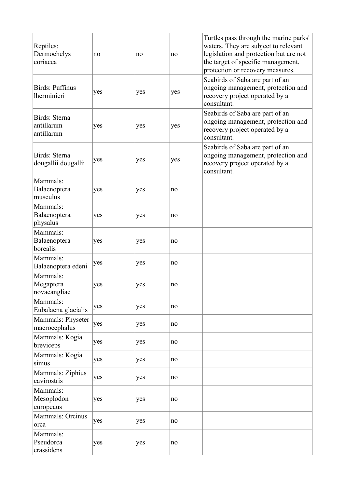| Reptiles:<br>Dermochelys<br>coriacea      | no  | no  | no  | Turtles pass through the marine parks'<br>waters. They are subject to relevant<br>legislation and protection but are not<br>the target of specific management,<br>protection or recovery measures. |
|-------------------------------------------|-----|-----|-----|----------------------------------------------------------------------------------------------------------------------------------------------------------------------------------------------------|
| Birds: Puffinus<br>lherminieri            | yes | yes | yes | Seabirds of Saba are part of an<br>ongoing management, protection and<br>recovery project operated by a<br>consultant.                                                                             |
| Birds: Sterna<br>antillarum<br>antillarum | yes | yes | yes | Seabirds of Saba are part of an<br>ongoing management, protection and<br>recovery project operated by a<br>consultant.                                                                             |
| Birds: Sterna<br>dougallii dougallii      | yes | yes | yes | Seabirds of Saba are part of an<br>ongoing management, protection and<br>recovery project operated by a<br>consultant.                                                                             |
| Mammals:<br>Balaenoptera<br>musculus      | yes | yes | no  |                                                                                                                                                                                                    |
| Mammals:<br>Balaenoptera<br>physalus      | yes | yes | no  |                                                                                                                                                                                                    |
| Mammals:<br>Balaenoptera<br>borealis      | yes | yes | no  |                                                                                                                                                                                                    |
| Mammals:<br>Balaenoptera edeni            | yes | yes | no  |                                                                                                                                                                                                    |
| Mammals:<br>Megaptera<br>novaeangliae     | yes | yes | no  |                                                                                                                                                                                                    |
| Mammals:<br>Eubalaena glacialis           | yes | yes | no  |                                                                                                                                                                                                    |
| Mammals: Physeter<br>macrocephalus        | yes | yes | no  |                                                                                                                                                                                                    |
| Mammals: Kogia<br>breviceps               | yes | yes | no  |                                                                                                                                                                                                    |
| Mammals: Kogia<br>simus                   | yes | yes | no  |                                                                                                                                                                                                    |
| Mammals: Ziphius<br>cavirostris           | yes | yes | no  |                                                                                                                                                                                                    |
| Mammals:<br>Mesoplodon<br>europeaus       | yes | yes | no  |                                                                                                                                                                                                    |
| Mammals: Orcinus<br>orca                  | yes | yes | no  |                                                                                                                                                                                                    |
| Mammals:<br>Pseudorca<br>crassidens       | yes | yes | no  |                                                                                                                                                                                                    |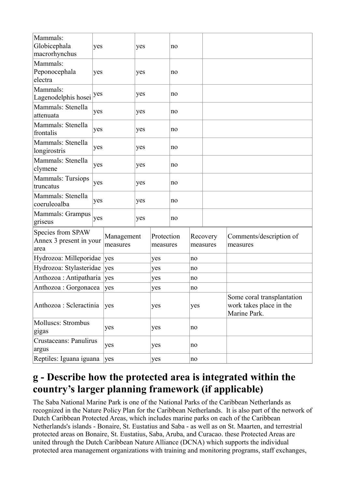| Mammals:<br>Globicephala<br>macrorhynchus            | yes |                        | yes |                        | no  |    |                                                                       |                                     |
|------------------------------------------------------|-----|------------------------|-----|------------------------|-----|----|-----------------------------------------------------------------------|-------------------------------------|
| Mammals:<br>Peponocephala<br>electra                 | yes |                        | yes |                        | no  |    |                                                                       |                                     |
| Mammals:<br>Lagenodelphis hosei                      | yes |                        | yes |                        | no  |    |                                                                       |                                     |
| Mammals: Stenella<br>attenuata                       | yes |                        | yes |                        | no  |    |                                                                       |                                     |
| Mammals: Stenella<br>frontalis                       | yes |                        | yes |                        | no  |    |                                                                       |                                     |
| Mammals: Stenella<br>longirostris                    | yes |                        | yes |                        | no  |    |                                                                       |                                     |
| Mammals: Stenella<br>clymene                         | yes |                        | yes |                        | no  |    |                                                                       |                                     |
| Mammals: Tursiops<br>truncatus                       | yes |                        | yes |                        | no  |    |                                                                       |                                     |
| Mammals: Stenella<br>coeruleoalba                    | yes |                        | yes |                        | no  |    |                                                                       |                                     |
| Mammals: Grampus<br>griseus                          | yes |                        | yes |                        | no  |    |                                                                       |                                     |
| Species from SPAW<br>Annex 3 present in your<br>area |     | Management<br>measures |     | Protection<br>measures |     |    | Recovery<br>measures                                                  | Comments/description of<br>measures |
| Hydrozoa: Milleporidae                               |     | yes                    | yes |                        |     | no |                                                                       |                                     |
| Hydrozoa: Stylasteridae                              |     | yes                    | yes |                        |     | no |                                                                       |                                     |
| Anthozoa : Antipatharia                              |     | yes                    | yes |                        |     | no |                                                                       |                                     |
| Anthozoa : Gorgonacea                                |     | yes                    |     | yes                    |     | no |                                                                       |                                     |
| Anthozoa : Scleractinia<br>yes                       |     | yes                    |     |                        | yes |    | Some coral transplantation<br>work takes place in the<br>Marine Park. |                                     |
| Molluscs: Strombus<br>gigas                          | yes |                        | yes |                        |     | no |                                                                       |                                     |
| Crustaceans: Panulirus<br>argus                      |     | yes                    |     | yes                    |     | no |                                                                       |                                     |
| Reptiles: Iguana iguana                              |     | yes                    |     | yes                    |     | no |                                                                       |                                     |

### **g - Describe how the protected area is integrated within the country's larger planning framework (if applicable)**

The Saba National Marine Park is one of the National Parks of the Caribbean Netherlands as recognized in the Nature Policy Plan for the Caribbean Netherlands. It is also part of the network of Dutch Caribbean Protected Areas, which includes marine parks on each of the Caribbean Netherlands's islands - Bonaire, St. Eustatius and Saba - as well as on St. Maarten, and terrestrial protected areas on Bonaire, St. Eustatius, Saba, Aruba, and Curacao. these Protected Areas are united through the Dutch Caribbean Nature Alliance (DCNA) which supports the individual protected area management organizations with training and monitoring programs, staff exchanges,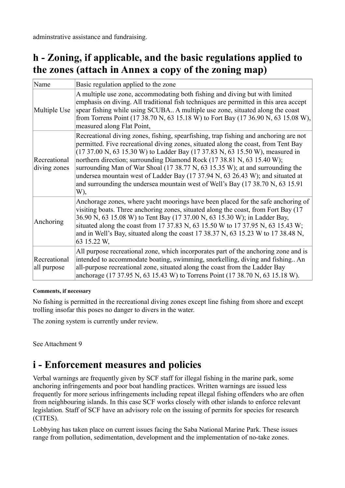adminstrative assistance and fundraising.

### **h - Zoning, if applicable, and the basic regulations applied to the zones (attach in Annex a copy of the zoning map)**

| Name                         | Basic regulation applied to the zone                                                                                                                                                                                                                                                                                                                                                                                                                                                                                                                                                              |
|------------------------------|---------------------------------------------------------------------------------------------------------------------------------------------------------------------------------------------------------------------------------------------------------------------------------------------------------------------------------------------------------------------------------------------------------------------------------------------------------------------------------------------------------------------------------------------------------------------------------------------------|
| Multiple Use                 | A multiple use zone, accommodating both fishing and diving but with limited<br>emphasis on diving. All traditional fish techniques are permitted in this area accept<br>spear fishing while using SCUBA A multiple use zone, situated along the coast<br>from Torrens Point (17 38.70 N, 63 15.18 W) to Fort Bay (17 36.90 N, 63 15.08 W),<br>measured along Flat Point,                                                                                                                                                                                                                          |
| Recreational<br>diving zones | Recreational diving zones, fishing, spearfishing, trap fishing and anchoring are not<br>permitted. Five recreational diving zones, situated along the coast, from Tent Bay<br>(17 37.00 N, 63 15.30 W) to Ladder Bay (17 37.83 N, 63 15.50 W), measured in<br>northern direction; surrounding Diamond Rock (17 38.81 N, 63 15.40 W);<br>surrounding Man of War Shoal (17 38.77 N, 63 15.35 W); at and surrounding the<br>undersea mountain west of Ladder Bay (17 37.94 N, 63 26.43 W); and situated at<br>and surrounding the undersea mountain west of Well's Bay (17 38.70 N, 63 15.91)<br>W), |
| Anchoring                    | Anchorage zones, where yacht moorings have been placed for the safe anchoring of<br>visiting boats. Three anchoring zones, situated along the coast, from Fort Bay (17)<br>36.90 N, 63 15.08 W) to Tent Bay (17 37.00 N, 63 15.30 W); in Ladder Bay,<br>situated along the coast from 17 37.83 N, 63 15.50 W to 17 37.95 N, 63 15.43 W;<br>and in Well's Bay, situated along the coast 17 38.37 N, 63 15.23 W to 17 38.48 N,<br>63 15.22 W,                                                                                                                                                       |
| Recreational<br>all purpose  | All purpose recreational zone, which incorporates part of the anchoring zone and is<br>intended to accommodate boating, swimming, snorkelling, diving and fishing An<br>all-purpose recreational zone, situated along the coast from the Ladder Bay<br>anchorage (17 37.95 N, 63 15.43 W) to Torrens Point (17 38.70 N, 63 15.18 W).                                                                                                                                                                                                                                                              |

#### **Comments, if necessary**

No fishing is permitted in the recreational diving zones except line fishing from shore and except trolling insofar this poses no danger to divers in the water.

The zoning system is currently under review.

See Attachment 9

### **i - Enforcement measures and policies**

Verbal warnings are frequently given by SCF staff for illegal fishing in the marine park, some anchoring infringements and poor boat handling practices. Written warnings are issued less frequently for more serious infringements including repeat illegal fishing offenders who are often from neighbouring islands. In this case SCF works closely with other islands to enforce relevant legislation. Staff of SCF have an advisory role on the issuing of permits for species for research (CITES).

Lobbying has taken place on current issues facing the Saba National Marine Park. These issues range from pollution, sedimentation, development and the implementation of no-take zones.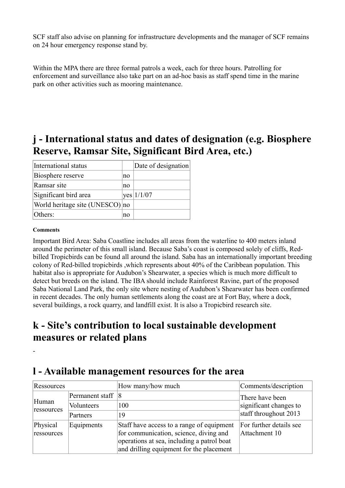SCF staff also advise on planning for infrastructure developments and the manager of SCF remains on 24 hour emergency response stand by.

Within the MPA there are three formal patrols a week, each for three hours. Patrolling for enforcement and surveillance also take part on an ad-hoc basis as staff spend time in the marine park on other activities such as mooring maintenance.

### **j - International status and dates of designation (e.g. Biosphere Reserve, Ramsar Site, Significant Bird Area, etc.)**

| International status            |    | Date of designation |
|---------------------------------|----|---------------------|
| Biosphere reserve               | no |                     |
| Ramsar site                     | no |                     |
| Significant bird area           |    | $yes$ 1/1/07        |
| World heritage site (UNESCO) no |    |                     |
| Others:                         | no |                     |

#### **Comments**

-

Important Bird Area: Saba Coastline includes all areas from the waterline to 400 meters inland around the perimeter of this small island. Because Saba's coast is composed solely of cliffs, Redbilled Tropicbirds can be found all around the island. Saba has an internationally important breeding colony of Red-billed tropicbirds ,which represents about 40% of the Caribbean population. This habitat also is appropriate for Audubon's Shearwater, a species which is much more difficult to detect but breeds on the island. The IBA should include Rainforest Ravine, part of the proposed Saba National Land Park, the only site where nesting of Audubon's Shearwater has been confirmed in recent decades. The only human settlements along the coast are at Fort Bay, where a dock, several buildings, a rock quarry, and landfill exist. It is also a Tropicbird research site.

### **k - Site's contribution to local sustainable development measures or related plans**

### **l - Available management resources for the area**

| Ressources             |                 | How many/how much                                                                                                                                                             | Comments/description                     |  |  |
|------------------------|-----------------|-------------------------------------------------------------------------------------------------------------------------------------------------------------------------------|------------------------------------------|--|--|
|                        | Permanent staff | 18                                                                                                                                                                            | There have been                          |  |  |
| Human<br>ressources    | Volunteers      | 100                                                                                                                                                                           | significant changes to                   |  |  |
|                        | Partners        | 19                                                                                                                                                                            | staff throughout 2013                    |  |  |
| Physical<br>ressources | Equipments      | Staff have access to a range of equipment<br>for communication, science, diving and<br>operations at sea, including a patrol boat<br>and drilling equipment for the placement | For further details see<br>Attachment 10 |  |  |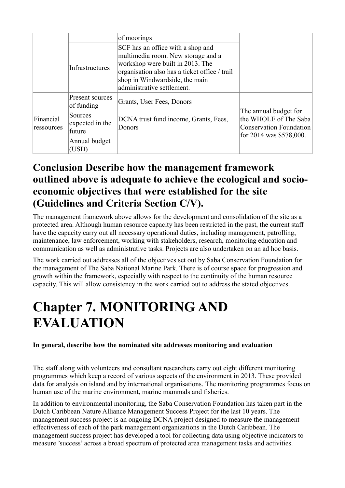|                         |                                      | of moorings                                                                                                                                                                                                                  |                                                                                                      |
|-------------------------|--------------------------------------|------------------------------------------------------------------------------------------------------------------------------------------------------------------------------------------------------------------------------|------------------------------------------------------------------------------------------------------|
|                         | Infrastructures                      | SCF has an office with a shop and<br>multimedia room. New storage and a<br>workshop were built in 2013. The<br>organisation also has a ticket office / trail<br>shop in Windwardside, the main<br>administrative settlement. |                                                                                                      |
| Financial<br>ressources | Present sources<br>of funding        | Grants, User Fees, Donors                                                                                                                                                                                                    |                                                                                                      |
|                         | Sources<br>expected in the<br>future | DCNA trust fund income, Grants, Fees,<br>Donors                                                                                                                                                                              | The annual budget for<br>the WHOLE of The Saba<br>Conservation Foundation<br>for 2014 was \$578,000. |
|                         | Annual budget<br>(USD)               |                                                                                                                                                                                                                              |                                                                                                      |

### **Conclusion Describe how the management framework outlined above is adequate to achieve the ecological and socioeconomic objectives that were established for the site (Guidelines and Criteria Section C/V).**

The management framework above allows for the development and consolidation of the site as a protected area. Although human resource capacity has been restricted in the past, the current staff have the capacity carry out all necessary operational duties, including management, patrolling, maintenance, law enforcement, working with stakeholders, research, monitoring education and communication as well as administrative tasks. Projects are also undertaken on an ad hoc basis.

The work carried out addresses all of the objectives set out by Saba Conservation Foundation for the management of The Saba National Marine Park. There is of course space for progression and growth within the framework, especially with respect to the continuity of the human resource capacity. This will allow consistency in the work carried out to address the stated objectives.

## **Chapter 7. MONITORING AND EVALUATION**

#### **In general, describe how the nominated site addresses monitoring and evaluation**

The staff along with volunteers and consultant researchers carry out eight different monitoring programmes which keep a record of various aspects of the environment in 2013. These provided data for analysis on island and by international organisations. The monitoring programmes focus on human use of the marine environment, marine mammals and fisheries.

In addition to environmental monitoring, the Saba Conservation Foundation has taken part in the Dutch Caribbean Nature Alliance Management Success Project for the last 10 years. The management success project is an ongoing DCNA project designed to measure the management effectiveness of each of the park management organizations in the Dutch Caribbean. The management success project has developed a tool for collecting data using objective indicators to measure 'success' across a broad spectrum of protected area management tasks and activities.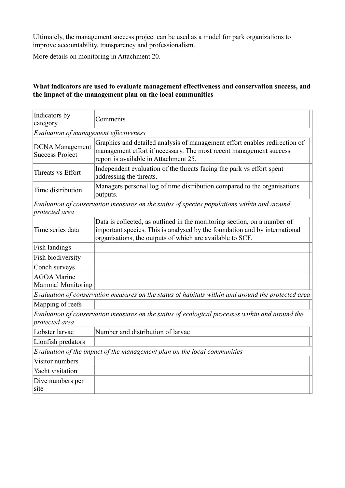Ultimately, the management success project can be used as a model for park organizations to improve accountability, transparency and professionalism.

More details on monitoring in Attachment 20.

#### **What indicators are used to evaluate management effectiveness and conservation success, and the impact of the management plan on the local communities**

| Indicators by<br>category                        | Comments                                                                                                                                                                                                            |
|--------------------------------------------------|---------------------------------------------------------------------------------------------------------------------------------------------------------------------------------------------------------------------|
| Evaluation of management effectiveness           |                                                                                                                                                                                                                     |
| <b>DCNA</b> Management<br><b>Success Project</b> | Graphics and detailed analysis of management effort enables redirection of<br>management effort if necessary. The most recent management success<br>report is available in Attachment 25.                           |
| Threats vs Effort                                | Independent evaluation of the threats facing the park vs effort spent<br>addressing the threats.                                                                                                                    |
| Time distribution                                | Managers personal log of time distribution compared to the organisations<br>outputs.                                                                                                                                |
| protected area                                   | Evaluation of conservation measures on the status of species populations within and around                                                                                                                          |
| Time series data                                 | Data is collected, as outlined in the monitoring section, on a number of<br>important species. This is analysed by the foundation and by international<br>organisations, the outputs of which are available to SCF. |
| Fish landings                                    |                                                                                                                                                                                                                     |
| Fish biodiversity                                |                                                                                                                                                                                                                     |
| Conch surveys                                    |                                                                                                                                                                                                                     |
| <b>AGOA</b> Marine<br><b>Mammal Monitoring</b>   |                                                                                                                                                                                                                     |
|                                                  | Evaluation of conservation measures on the status of habitats within and around the protected area                                                                                                                  |
| Mapping of reefs                                 |                                                                                                                                                                                                                     |
| protected area                                   | Evaluation of conservation measures on the status of ecological processes within and around the                                                                                                                     |
| Lobster larvae                                   | Number and distribution of larvae                                                                                                                                                                                   |
| Lionfish predators                               |                                                                                                                                                                                                                     |
|                                                  | Evaluation of the impact of the management plan on the local communities                                                                                                                                            |
| Visitor numbers                                  |                                                                                                                                                                                                                     |
| Yacht visitation                                 |                                                                                                                                                                                                                     |
| Dive numbers per<br>site                         |                                                                                                                                                                                                                     |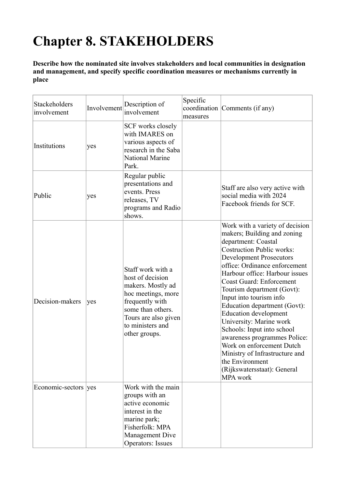## **Chapter 8. STAKEHOLDERS**

**Describe how the nominated site involves stakeholders and local communities in designation and management, and specify specific coordination measures or mechanisms currently in place** 

| Stackeholders<br>involvement | Involvement | Description of<br>involvement                                                                                                                                                         | Specific<br>measures | coordination Comments (if any)                                                                                                                                                                                                                                                                                                                                                                                                                                                                                                                                                                                   |
|------------------------------|-------------|---------------------------------------------------------------------------------------------------------------------------------------------------------------------------------------|----------------------|------------------------------------------------------------------------------------------------------------------------------------------------------------------------------------------------------------------------------------------------------------------------------------------------------------------------------------------------------------------------------------------------------------------------------------------------------------------------------------------------------------------------------------------------------------------------------------------------------------------|
| Institutions                 | yes         | SCF works closely<br>with IMARES on<br>various aspects of<br>research in the Saba<br><b>National Marine</b><br>Park.                                                                  |                      |                                                                                                                                                                                                                                                                                                                                                                                                                                                                                                                                                                                                                  |
| Public                       | yes         | Regular public<br>presentations and<br>events. Press<br>releases, TV<br>programs and Radio<br>shows.                                                                                  |                      | Staff are also very active with<br>social media with 2024<br>Facebook friends for SCF.                                                                                                                                                                                                                                                                                                                                                                                                                                                                                                                           |
| Decision-makers              | yes         | Staff work with a<br>host of decision<br>makers. Mostly ad<br>hoc meetings, more<br>frequently with<br>some than others.<br>Tours are also given<br>to ministers and<br>other groups. |                      | Work with a variety of decision<br>makers; Building and zoning<br>department: Coastal<br><b>Costruction Public works:</b><br><b>Development Prosecutors</b><br>office: Ordinance enforcement<br>Harbour office: Harbour issues<br><b>Coast Guard: Enforcement</b><br>Tourism department (Govt):<br>Input into tourism info<br>Education department (Govt):<br><b>Education development</b><br>University: Marine work<br>Schools: Input into school<br>awareness programmes Police:<br>Work on enforcement Dutch<br>Ministry of Infrastructure and<br>the Environment<br>(Rijkswatersstaat): General<br>MPA work |
| Economic-sectors ves         |             | Work with the main<br>groups with an<br>active economic<br>interest in the<br>marine park;<br>Fisherfolk: MPA<br>Management Dive<br><b>Operators: Issues</b>                          |                      |                                                                                                                                                                                                                                                                                                                                                                                                                                                                                                                                                                                                                  |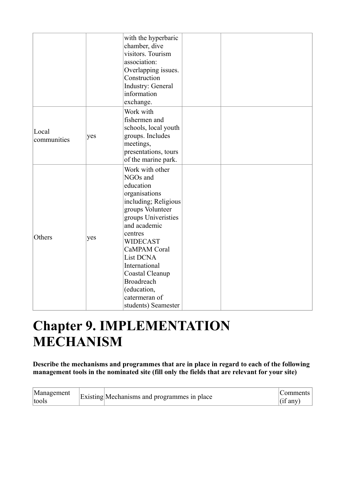|                      |     | with the hyperbaric<br>chamber, dive<br>visitors. Tourism<br>association:<br>Overlapping issues.<br>Construction<br>Industry: General<br>information<br>exchange.                                                                                                                                                              |  |
|----------------------|-----|--------------------------------------------------------------------------------------------------------------------------------------------------------------------------------------------------------------------------------------------------------------------------------------------------------------------------------|--|
| Local<br>communities | yes | Work with<br>fishermen and<br>schools, local youth<br>groups. Includes<br>meetings,<br>presentations, tours<br>of the marine park.                                                                                                                                                                                             |  |
| Others               | yes | Work with other<br>NGOs and<br>education<br>organisations<br>including; Religious<br>groups Volunteer<br>groups Univeristies<br>and academic<br>centres<br><b>WIDECAST</b><br>CaMPAM Coral<br><b>List DCNA</b><br>International<br>Coastal Cleanup<br><b>Broadreach</b><br>(education,<br>catermeran of<br>students) Seamester |  |

## **Chapter 9. IMPLEMENTATION MECHANISM**

**Describe the mechanisms and programmes that are in place in regard to each of the following management tools in the nominated site (fill only the fields that are relevant for your site)** 

| Management<br>tools | Existing Mechanisms and programmes in place | Comments<br>$\int$ (if any) |
|---------------------|---------------------------------------------|-----------------------------|
|---------------------|---------------------------------------------|-----------------------------|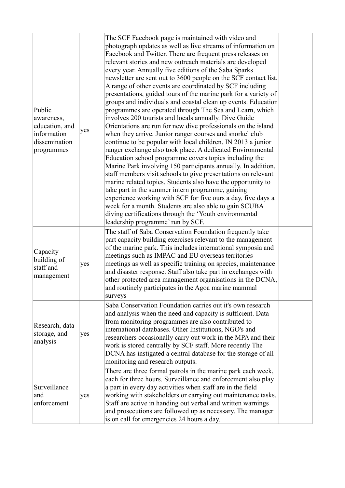| Public<br>awareness,<br>education, and<br>information<br>dissemination<br>programmes | yes | The SCF Facebook page is maintained with video and<br>photograph updates as well as live streams of information on<br>Facebook and Twitter. There are frequent press releases on<br>relevant stories and new outreach materials are developed<br>every year. Annually five editions of the Saba Sparks<br>newsletter are sent out to 3600 people on the SCF contact list.<br>A range of other events are coordinated by SCF including<br>presentations, guided tours of the marine park for a variety of<br>groups and individuals and coastal clean up events. Education<br>programmes are operated through The Sea and Learn, which<br>involves 200 tourists and locals annually. Dive Guide<br>Orientations are run for new dive professionals on the island<br>when they arrive. Junior ranger courses and snorkel club<br>continue to be popular with local children. IN 2013 a junior<br>ranger exchange also took place. A dedicated Environmental<br>Education school programme covers topics including the<br>Marine Park involving 150 participants annually. In addition,<br>staff members visit schools to give presentations on relevant<br>marine related topics. Students also have the opportunity to<br>take part in the summer intern programme, gaining<br>experience working with SCF for five ours a day, five days a<br>week for a month. Students are also able to gain SCUBA<br>diving certifications through the 'Youth environmental<br>leadership programme' run by SCF. |  |
|--------------------------------------------------------------------------------------|-----|-----------------------------------------------------------------------------------------------------------------------------------------------------------------------------------------------------------------------------------------------------------------------------------------------------------------------------------------------------------------------------------------------------------------------------------------------------------------------------------------------------------------------------------------------------------------------------------------------------------------------------------------------------------------------------------------------------------------------------------------------------------------------------------------------------------------------------------------------------------------------------------------------------------------------------------------------------------------------------------------------------------------------------------------------------------------------------------------------------------------------------------------------------------------------------------------------------------------------------------------------------------------------------------------------------------------------------------------------------------------------------------------------------------------------------------------------------------------------------------------------------|--|
| Capacity<br>building of<br>staff and<br>management                                   | yes | The staff of Saba Conservation Foundation frequently take<br>part capacity building exercises relevant to the management<br>of the marine park. This includes international symposia and<br>meetings such as IMPAC and EU overseas territories<br>meetings as well as specific training on species, maintenance<br>and disaster response. Staff also take part in exchanges with<br>other protected area management organisations in the DCNA,<br>and routinely participates in the Agoa marine mammal<br>surveys                                                                                                                                                                                                                                                                                                                                                                                                                                                                                                                                                                                                                                                                                                                                                                                                                                                                                                                                                                                   |  |
| Research, data<br>storage, and<br>analysis                                           | yes | Saba Conservation Foundation carries out it's own research<br>and analysis when the need and capacity is sufficient. Data<br>from monitoring programmes are also contributed to<br>international databases. Other Institutions, NGO's and<br>researchers occasionally carry out work in the MPA and their<br>work is stored centrally by SCF staff. More recently The<br>DCNA has instigated a central database for the storage of all<br>monitoring and research outputs.                                                                                                                                                                                                                                                                                                                                                                                                                                                                                                                                                                                                                                                                                                                                                                                                                                                                                                                                                                                                                          |  |
| Surveillance<br>and<br>enforcement                                                   | yes | There are three formal patrols in the marine park each week,<br>each for three hours. Surveillance and enforcement also play<br>a part in every day activities when staff are in the field<br>working with stakeholders or carrying out maintenance tasks.<br>Staff are active in handing out verbal and written warnings<br>and prosecutions are followed up as necessary. The manager<br>is on call for emergencies 24 hours a day.                                                                                                                                                                                                                                                                                                                                                                                                                                                                                                                                                                                                                                                                                                                                                                                                                                                                                                                                                                                                                                                               |  |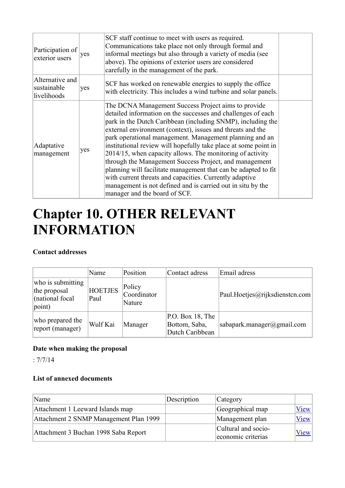| Participation of<br>exterior users            | yes | SCF staff continue to meet with users as required.<br>Communications take place not only through formal and<br>informal meetings but also through a variety of media (see<br>above). The opinions of exterior users are considered<br>carefully in the management of the park.                                                                                                                                                                                                                                                                                                                                                                                                                                                     |  |
|-----------------------------------------------|-----|------------------------------------------------------------------------------------------------------------------------------------------------------------------------------------------------------------------------------------------------------------------------------------------------------------------------------------------------------------------------------------------------------------------------------------------------------------------------------------------------------------------------------------------------------------------------------------------------------------------------------------------------------------------------------------------------------------------------------------|--|
| Alternative and<br>sustainable<br>livelihoods | yes | SCF has worked on renewable energies to supply the office<br>with electricity. This includes a wind turbine and solar panels.                                                                                                                                                                                                                                                                                                                                                                                                                                                                                                                                                                                                      |  |
| Adaptative<br>management                      | yes | The DCNA Management Success Project aims to provide<br>detailed information on the successes and challenges of each<br>park in the Dutch Caribbean (including SNMP), including the<br>external environment (context), issues and threats and the<br>park operational management. Management planning and an<br>institutional review will hopefully take place at some point in<br>2014/15, when capacity allows. The monitoring of activity<br>through the Management Success Project, and management<br>planning will facilitate management that can be adapted to fit<br>with current threats and capacities. Currently adaptive<br>management is not defined and is carried out in situ by the<br>manager and the board of SCF. |  |

## **Chapter 10. OTHER RELEVANT INFORMATION**

#### **Contact addresses**

|                                                                         | Name                   | Position                        | Contact adress                                       | Email adress                   |
|-------------------------------------------------------------------------|------------------------|---------------------------------|------------------------------------------------------|--------------------------------|
| who is submitting<br>the proposal<br>(national focal<br>$ point\rangle$ | <b>HOETJES</b><br>Paul | Policy<br>Coordinator<br>Nature |                                                      | Paul.Hoetjes@rijksdienstcn.com |
| who prepared the<br>report (manager)                                    | Wulf Kai               | Manager                         | P.O. Box 18, The<br>Bottom, Saba,<br>Dutch Caribbean | sabapark.manager@gmail.com     |

#### **Date when making the proposal**

: 7/7/14

#### **List of annexed documents**

| Name                                   | Description | Category                                  |             |
|----------------------------------------|-------------|-------------------------------------------|-------------|
| Attachment 1 Leeward Islands map       |             | Geographical map                          | $V$ iew $ $ |
| Attachment 2 SNMP Management Plan 1999 |             | Management plan                           | $V$ iew     |
| Attachment 3 Buchan 1998 Saba Report   |             | Cultural and socio-<br>economic criterias | View        |